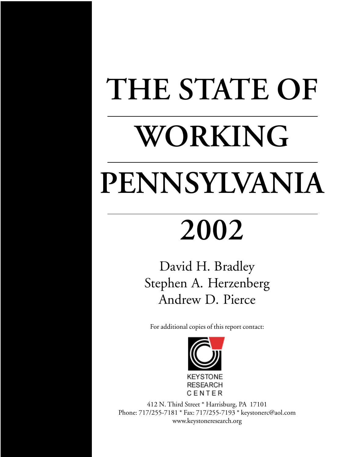# **THE STATE OF WORKING PENNSYLVANIA**

# **2002**

David H. Bradley Stephen A. Herzenberg Andrew D. Pierce

For additional copies of this report contact:



412 N. Third Street \* Harrisburg, PA 17101 Phone: 717/255-7181 \* Fax: 717/255-7193 \* keystonerc@aol.com www.keystoneresearch.org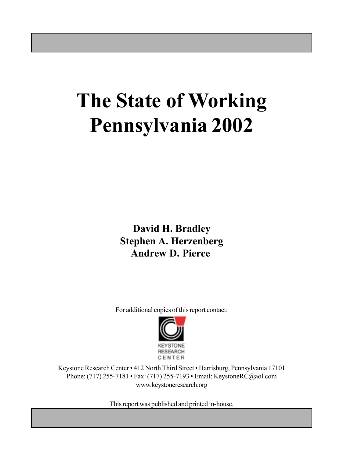# **The State of Working Pennsylvania 2002**

**David H. Bradley Stephen A. Herzenberg Andrew D. Pierce**

For additional copies of this report contact:



Keystone Research Center • 412 North Third Street • Harrisburg, Pennsylvania 17101 Phone: (717) 255-7181 • Fax: (717) 255-7193 • Email: KeystoneRC@aol.com www.keystoneresearch.org

This report was published and printed in-house.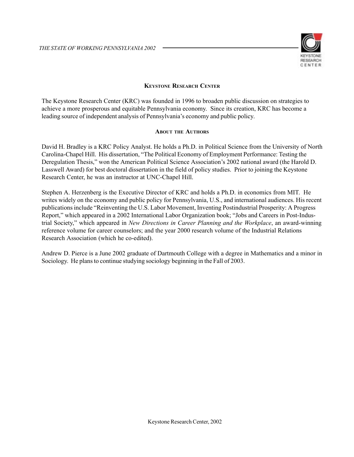

#### **KEYSTONE RESEARCH CENTER**

The Keystone Research Center (KRC) was founded in 1996 to broaden public discussion on strategies to achieve a more prosperous and equitable Pennsylvania economy. Since its creation, KRC has become a leading source of independent analysis of Pennsylvania's economy and public policy.

#### **ABOUT THE AUTHORS**

David H. Bradley is a KRC Policy Analyst. He holds a Ph.D. in Political Science from the University of North Carolina-Chapel Hill. His dissertation, "The Political Economy of Employment Performance: Testing the Deregulation Thesis," won the American Political Science Association's 2002 national award (the Harold D. Lasswell Award) for best doctoral dissertation in the field of policy studies. Prior to joining the Keystone Research Center, he was an instructor at UNC-Chapel Hill.

Stephen A. Herzenberg is the Executive Director of KRC and holds a Ph.D. in economics from MIT. He writes widely on the economy and public policy for Pennsylvania, U.S., and international audiences. His recent publications include "Reinventing the U.S. Labor Movement, Inventing Postindustrial Prosperity: A Progress Report," which appeared in a 2002 International Labor Organization book; "Jobs and Careers in Post-Industrial Society," which appeared in *New Directions in Career Planning and the Workplace*, an award-winning reference volume for career counselors; and the year 2000 research volume of the Industrial Relations Research Association (which he co-edited).

Andrew D. Pierce is a June 2002 graduate of Dartmouth College with a degree in Mathematics and a minor in Sociology. He plans to continue studying sociology beginning in the Fall of 2003.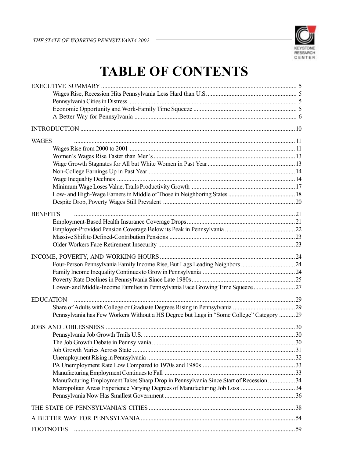

# **TABLE OF CONTENTS**

| <b>WAGES</b>                                                                             |  |
|------------------------------------------------------------------------------------------|--|
|                                                                                          |  |
|                                                                                          |  |
|                                                                                          |  |
|                                                                                          |  |
|                                                                                          |  |
|                                                                                          |  |
|                                                                                          |  |
|                                                                                          |  |
| <b>BENEFITS</b>                                                                          |  |
|                                                                                          |  |
|                                                                                          |  |
|                                                                                          |  |
|                                                                                          |  |
|                                                                                          |  |
|                                                                                          |  |
|                                                                                          |  |
|                                                                                          |  |
|                                                                                          |  |
| <b>EDUCATION</b>                                                                         |  |
|                                                                                          |  |
| Pennsylvania has Few Workers Without a HS Degree but Lags in "Some College" Category  29 |  |
|                                                                                          |  |
|                                                                                          |  |
|                                                                                          |  |
|                                                                                          |  |
|                                                                                          |  |
|                                                                                          |  |
|                                                                                          |  |
| Manufacturing Employment Takes Sharp Drop in Pennsylvania Since Start of Recession  34   |  |
|                                                                                          |  |
|                                                                                          |  |
|                                                                                          |  |
|                                                                                          |  |
| <b>FOOTNOTES</b>                                                                         |  |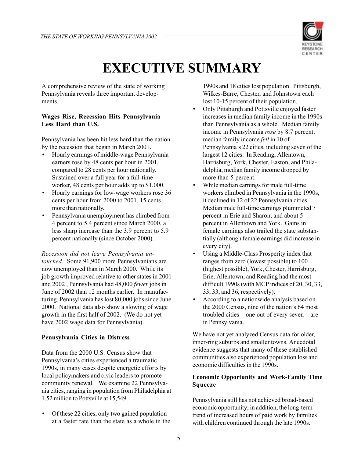

# **EXECUTIVE SUMMARY**

A comprehensive review of the state of working Pennsylvania reveals three important developments.

#### **Wages Rise, Recession Hits Pennsylvania Less Hard than U.S.**

Pennsylvania has been hit less hard than the nation by the recession that began in March 2001.

- Hourly earnings of middle-wage Pennsylvania earners rose by 48 cents per hour in 2001, compared to 28 cents per hour nationally. Sustained over a full year for a full-time worker, 48 cents per hour adds up to \$1,000.
- Hourly earnings for low-wage workers rose 36 cents per hour from 2000 to 2001, 15 cents more than nationally.
- Pennsylvania unemployment has climbed from 4 percent to 5.4 percent since March 2000, a less sharp increase than the 3.9 percent to 5.9 percent nationally (since October 2000).

*Recession did not leave Pennsylvania untouched.* Some 91,900 more Pennsylvanians are now unemployed than in March 2000. While its job growth improved relative to other states in 2001 and 2002 , Pennsylvania had 48,000 *fewer* jobs in June of 2002 than 12 months earlier. In manufacturing, Pennsylvania has lost 80,000 jobs since June 2000. National data also show a slowing of wage growth in the first half of 2002. (We do not yet have 2002 wage data for Pennsylvania).

#### **Pennsylvania Cities in Distress**

Data from the 2000 U.S. Census show that Pennsylvania's cities experienced a traumatic 1990s, in many cases despite energetic efforts by local policymakers and civic leaders to promote community renewal. We examine 22 Pennsylvania cities, ranging in population from Philadelphia at 1.52 million to Pottsville at 15,549.

• Of these 22 cities, only two gained population at a faster rate than the state as a whole in the 1990s and 18 cities lost population. Pittsburgh, Wilkes-Barre, Chester, and Johnstown each lost 10-15 percent of their population.

- Only Pittsburgh and Pottsville enjoyed faster increases in median family income in the 1990s than Pennsylvania as a whole. Median family income in Pennsylvania *rose* by 8.7 percent; median family income *fell* in 10 of Pennsylvania's 22 cities, including seven of the largest 12 cities. In Reading, Allentown, Harrisburg, York, Chester, Easton, and Philadelphia, median family income dropped by more than 5 percent.
- While median earnings for male full-time workers climbed in Pennsylvania in the 1990s, it declined in 12 of 22 Pennsylvania cities. Median male full-time earnings plummeted 7 percent in Erie and Sharon, and about 5 percent in Allentown and York. Gains in female earnings also trailed the state substantially (although female earnings did increase in every city).
- Using a Middle-Class Prosperity index that ranges from zero (lowest possible) to 100 (highest possible), York, Chester, Harrisburg, Erie, Allentown, and Reading had the most difficult 1990s (with MCP indices of 20, 30, 33, 33, 33, and 36, respectively).
- According to a nationwide analysis based on the 2000 Census, nine of the nation's 64 most troubled cities – one out of every seven – are in Pennsylvania.

We have not yet analyzed Census data for older, inner-ring suburbs and smaller towns. Anecdotal evidence suggests that many of these established communities also experienced population loss and economic difficulties in the 1990s.

#### **Economic Opportunity and Work-Family Time Squeeze**

Pennsylvania still has not achieved broad-based economic opportunity; in addition, the long-term trend of increased hours of paid work by families with children continued through the late 1990s.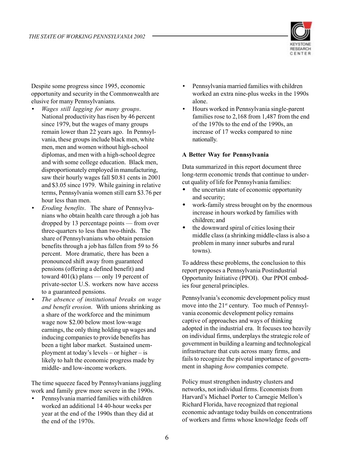

Despite some progress since 1995, economic opportunity and security in the Commonwealth are elusive for many Pennsylvanians*.*

- *Wages still lagging for many groups*. National productivity has risen by 46 percent since 1979, but the wages of many groups remain lower than 22 years ago. In Pennsylvania, these groups include black men, white men, men and women without high-school diplomas, and men with a high-school degree and with some college education. Black men, disproportionately employed in manufacturing, saw their hourly wages fall \$0.81 cents in 2001 and \$3.05 since 1979. While gaining in relative terms, Pennsylvania women still earn \$3.76 per hour less than men.
- *Eroding benefits*. The share of Pennsylvanians who obtain health care through a job has dropped by 13 percentage points — from over three-quarters to less than two-thirds. The share of Pennsylvanians who obtain pension benefits through a job has fallen from 59 to 56 percent. More dramatic, there has been a pronounced shift away from guaranteed pensions (offering a defined benefit) and toward  $401(k)$  plans — only 19 percent of private-sector U.S. workers now have access to a guaranteed pensions.
- *The absence of institutional breaks on wage and benefit erosion*. With unions shrinking as a share of the workforce and the minimum wage now \$2.00 below most low-wage earnings, the only thing holding up wages and inducing companies to provide benefits has been a tight labor market. Sustained unemployment at today's levels – or higher – is likely to halt the economic progress made by middle- and low-income workers.

The time squeeze faced by Pennsylvanians juggling work and family grew more severe in the 1990s.

• Pennsylvania married families with children worked an additional 14 40-hour weeks per year at the end of the 1990s than they did at the end of the 1970s.

- Pennsylvania married families with children worked an extra nine-plus weeks in the 1990s alone.
- Hours worked in Pennsylvania single-parent families rose to 2,168 from 1,487 from the end of the 1970s to the end of the 1990s, an increase of 17 weeks compared to nine nationally.

#### **A Better Way for Pennsylvania**

Data summarized in this report document three long-term economic trends that continue to undercut quality of life for Pennsylvania families:

- the uncertain state of economic opportunity and security;
- work-family stress brought on by the enormous increase in hours worked by families with children; and
- the downward spiral of cities losing their middle class (a shrinking middle-class is also a problem in many inner suburbs and rural towns).

To address these problems, the conclusion to this report proposes a Pennsylvania Postindustrial Opportunity Initiative (PPOI). Our PPOI embodies four general principles.

Pennsylvania's economic development policy must move into the 21<sup>st</sup> century. Too much of Pennsylvania economic development policy remains captive of approaches and ways of thinking adopted in the industrial era. It focuses too heavily on individual firms, underplays the strategic role of government in building a learning and technological infrastructure that cuts across many firms, and fails to recognize the pivotal importance of government in shaping *how* companies compete.

Policy must strengthen industry clusters and networks, not individual firms. Economists from Harvard's Michael Porter to Carnegie Mellon's Richard Florida, have recognized that regional economic advantage today builds on concentrations of workers and firms whose knowledge feeds off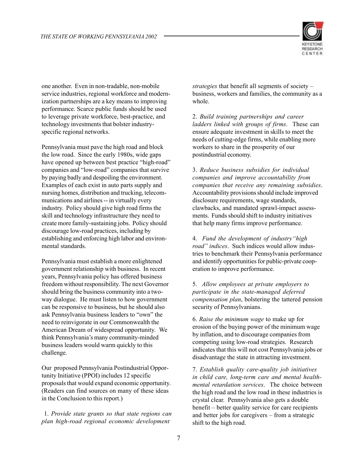

one another. Even in non-tradable, non-mobile service industries, regional workforce and modernization partnerships are a key means to improving performance. Scarce public funds should be used to leverage private workforce, best-practice, and technology investments that bolster industryspecific regional networks.

Pennsylvania must pave the high road and block the low road. Since the early 1980s, wide gaps have opened up between best practice "high-road" companies and "low-road" companies that survive by paying badly and despoiling the environment. Examples of each exist in auto parts supply and nursing homes, distribution and trucking, telecommunications and airlines -- in virtually every industry. Policy should give high road firms the skill and technology infrastructure they need to create more family-sustaining jobs. Policy should discourage low-road practices, including by establishing and enforcing high labor and environmental standards.

Pennsylvania must establish a more enlightened government relationship with business. In recent years, Pennsylvania policy has offered business freedom without responsibility. The next Governor should bring the business community into a twoway dialogue. He must listen to how government can be responsive to business, but he should also ask Pennsylvania business leaders to "own" the need to reinvigorate in our Commonwealth the American Dream of widespread opportunity. We think Pennsylvania's many community-minded business leaders would warm quickly to this challenge.

Our proposed Pennsylvania Postindustrial Opportunity Initiative (PPOI) includes 12 specific proposals that would expand economic opportunity. (Readers can find sources on many of these ideas in the Conclusion to this report.)

 1. *Provide state grants so that state regions can plan high-road regional economic development*

*strategies* that benefit all segments of society – business, workers and families, the community as a whole.

2. *Build training partnerships and career ladders linked with groups of firms*. These can ensure adequate investment in skills to meet the needs of cutting-edge firms, while enabling more workers to share in the prosperity of our postindustrial economy.

3. *Reduce business subsidies for individual companies and improve accountability from companies that receive any remaining subsidies*. Accountability provisions should include improved disclosure requirements, wage standards, clawbacks, and mandated sprawl-impact assessments. Funds should shift to industry initiatives that help many firms improve performance.

4. *Fund the development of industry"high road" indices*. Such indices would allow industries to benchmark their Pennsylvania performance and identify opportunities for public-private cooperation to improve performance.

5. *Allow employees at private employers to participate in the state-managed deferred compensation plan*, bolstering the tattered pension security of Pennsylvanians.

6. *Raise the minimum wage* to make up for erosion of the buying power of the minimum wage by inflation, and to discourage companies from competing using low-road strategies. Research indicates that this will not cost Pennsylvania jobs or disadvantage the state in attracting investment.

7. *Establish quality care-quality job initiatives in child care, long-term care and mental healthmental retardation services*. The choice between the high road and the low road in these industries is crystal clear. Pennsylvania also gets a double benefit – better quality service for care recipients and better jobs for caregivers – from a strategic shift to the high road.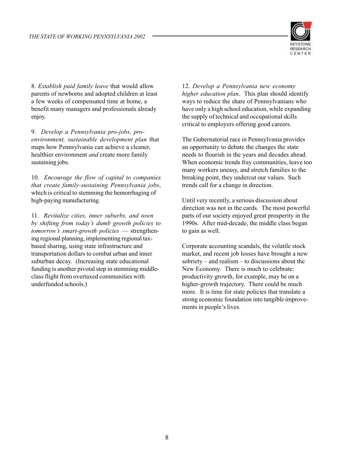

8. *Establish paid family leave* that would allow parents of newborns and adopted children at least a few weeks of compensated time at home, a benefit many managers and professionals already enjoy.

9. *Develop a Pennsylvania pro-jobs, proenvironment, sustainable development plan* that maps how Pennsylvania can achieve a cleaner, healthier environment *and* create more family sustaining jobs.

10. *Encourage the flow of capital to companies that create family-sustaining Pennsylvania jobs*, which is critical to stemming the hemorrhaging of high-paying manufacturing.

11. *Revitalize cities, inner suburbs, and town by shifting from today's dumb growth policies to tomorrow's smart-growth policies* — strengthening regional planning, implementing regional taxbased sharing, using state infrastructure and transportation dollars to combat urban and inner suburban decay. (Increasing state educational funding is another pivotal step in stemming middleclass flight from overtaxed communities with underfunded schools.)

12. *Develop a Pennsylvania new economy higher education plan*. This plan should identify ways to reduce the share of Pennsylvanians who have only a high school education, while expanding the supply of technical and occupational skills critical to employers offering good careers.

The Gubernatorial race in Pennsylvania provides an opportunity to debate the changes the state needs to flourish in the years and decades ahead. When economic trends fray communities, leave too many workers uneasy, and stretch families to the breaking point, they undercut our values. Such trends call for a change in direction.

Until very recently, a serious discussion about direction was not in the cards. The most powerful parts of our society enjoyed great prosperity in the 1990s. After mid-decade, the middle class began to gain as well.

Corporate accounting scandals, the volatile stock market, and recent job losses have brought a new sobriety – and realism – to discussions about the New Economy. There is much to celebrate: productivity growth, for example, may be on a higher-growth trajectory. There could be much more. It is time for state policies that translate a strong economic foundation into tangible improvements in people's lives.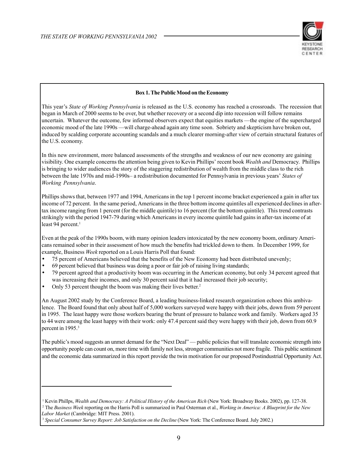

#### **Box 1. The Public Mood on the Economy**

This year's *State of Working Pennsylvania* is released as the U.S. economy has reached a crossroads. The recession that began in March of 2000 seems to be over, but whether recovery or a second dip into recession will follow remains uncertain. Whatever the outcome, few informed observers expect that equities markets —the engine of the supercharged economic mood of the late 1990s —will charge-ahead again any time soon. Sobriety and skepticism have broken out, induced by scalding corporate accounting scandals and a much clearer morning-after view of certain structural features of the U.S. economy.

In this new environment, more balanced assessments of the strengths and weakness of our new economy are gaining visibility. One example concerns the attention being given to Kevin Phillips' recent book *Wealth and* Democracy. Phillips is bringing to wider audiences the story of the staggering redistribution of wealth from the middle class to the rich between the late 1970s and mid-1990s– a redistribution documented for Pennsylvania in previous years' *States of Working Pennsylvania*.

Phillips shows that, between 1977 and 1994, Americans in the top 1 percent income bracket experienced a gain in after tax income of 72 percent. In the same period, Americans in the three bottom income quintiles all experienced declines in aftertax income ranging from 1 percent (for the middle quintile) to 16 percent (for the bottom quintile). This trend contrasts strikingly with the period 1947-79 during which Americans in every income quintile had gains in after-tax income of at least 94 percent.<sup>1</sup>

Even at the peak of the 1990s boom, with many opinion leaders intoxicated by the new economy boom, ordinary Americans remained sober in their assessment of how much the benefits had trickled down to them. In December 1999, for example, Business *Week* reported on a Louis Harris Poll that found:

- 75 percent of Americans believed that the benefits of the New Economy had been distributed unevenly;
- 69 percent believed that business was doing a poor or fair job of raising living standards;
- 79 percent agreed that a productivity boom was occurring in the American economy, but only 34 percent agreed that was increasing their incomes, and only 30 percent said that it had increased their job security;
- Only 53 percent thought the boom was making their lives better.2

An August 2002 study by the Conference Board, a leading business-linked research organization echoes this ambivalence. The Board found that only about half of 5,000 workers surveyed were happy with their jobs, down from 59 percent in 1995. The least happy were those workers bearing the brunt of pressure to balance work and family. Workers aged 35 to 44 were among the least happy with their work: only 47.4 percent said they were happy with their job, down from 60.9 percent in 1995.<sup>3</sup>

The public's mood suggests an unmet demand for the "Next Deal" — public policies that will translate economic strength into opportunity people can count on, more time with family not less, stronger communities not more fragile. This public sentiment and the economic data summarized in this report provide the twin motivation for our proposed Postindustrial Opportunity Act.

<sup>1</sup> Kevin Phillps, *Wealth and Democracy: A Political History of the American Rich* (New York: Broadway Books. 2002), pp. 127-38.

<sup>2</sup> The *Business Week* reporting on the Harris Poll is summarized in Paul Osterman et al., *Working in America: A Blueprint for the New Labor Market* (Cambridge: MIT Press. 2001).

<sup>&</sup>lt;sup>3</sup> Special Consumer Survey Report: Job Satisfaction on the Decline (New York: The Conference Board. July 2002.)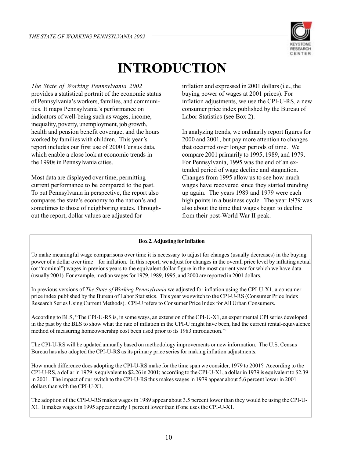

# **INTRODUCTION**

*The State of Working Pennsylvania 2002*

provides a statistical portrait of the economic status of Pennsylvania's workers, families, and communities. It maps Pennsylvania's performance on indicators of well-being such as wages, income, inequality, poverty, unemployment, job growth, health and pension benefit coverage, and the hours worked by families with children. This year's report includes our first use of 2000 Census data, which enable a close look at economic trends in the 1990s in Pennsylvania cities.

Most data are displayed over time, permitting current performance to be compared to the past. To put Pennsylvania in perspective, the report also compares the state's economy to the nation's and sometimes to those of neighboring states. Throughout the report, dollar values are adjusted for

inflation and expressed in 2001 dollars (i.e., the buying power of wages at 2001 prices). For inflation adjustments, we use the CPI-U-RS, a new consumer price index published by the Bureau of Labor Statistics (see Box 2).

In analyzing trends, we ordinarily report figures for 2000 and 2001, but pay more attention to changes that occurred over longer periods of time. We compare 2001 primarily to 1995, 1989, and 1979. For Pennsylvania, 1995 was the end of an extended period of wage decline and stagnation. Changes from 1995 allow us to see how much wages have recovered since they started trending up again. The years 1989 and 1979 were each high points in a business cycle. The year 1979 was also about the time that wages began to decline from their post-World War II peak.

#### **Box 2. Adjusting for Inflation**

To make meaningful wage comparisons over time it is necessary to adjust for changes (usually decreases) in the buying power of a dollar over time – for inflation. In this report, we adjust for changes in the overall price level by inflating actual (or "nominal") wages in previous years to the equivalent dollar figure in the most current year for which we have data (usually 2001). For example, median wages for 1979, 1989, 1995, and 2000 are reported in 2001 dollars.

In previous versions of *The State of Working Pennsylvania* we adjusted for inflation using the CPI-U-X1, a consumer price index published by the Bureau of Labor Statistics. This year we switch to the CPI-U-RS (Consumer Price Index Research Series Using Current Methods). CPI-U refers to Consumer Price Index for All Urban Consumers.

According to BLS, "The CPI-U-RS is, in some ways, an extension of the CPI-U-X1, an experimental CPI series developed in the past by the BLS to show what the rate of inflation in the CPI-U might have been, had the current rental-equivalence method of measuring homeownership cost been used prior to its 1983 introduction."1

The CPI-U-RS will be updated annually based on methodology improvements or new information. The U.S. Census Bureau has also adopted the CPI-U-RS as its primary price series for making inflation adjustments.

How much difference does adopting the CPI-U-RS make for the time span we consider, 1979 to 2001? According to the CPI-U-RS, a dollar in 1979 is equivalent to \$2.26 in 2001; according to the CPI-U-X1, a dollar in 1979 is equivalent to \$2.39 in 2001. The impact of our switch to the CPI-U-RS thus makes wages in 1979 appear about 5.6 percent lower in 2001 dollars than with the CPI-U-X1.

The adoption of the CPI-U-RS makes wages in 1989 appear about 3.5 percent lower than they would be using the CPI-U-X1. It makes wages in 1995 appear nearly 1 percent lower than if one uses the CPI-U-X1.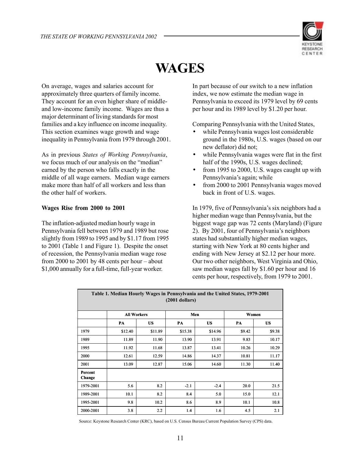

# **WAGES**

On average, wages and salaries account for approximately three quarters of family income. They account for an even higher share of middleand low-income family income. Wages are thus a major determinant of living standards for most families and a key influence on income inequality. This section examines wage growth and wage inequality in Pennsylvania from 1979 through 2001.

As in previous *States of Working Pennsylvania*, we focus much of our analysis on the "median" earned by the person who falls exactly in the middle of all wage earners. Median wage earners make more than half of all workers and less than the other half of workers.

#### **Wages Rise from 2000 to 2001**

The inflation-adjusted median hourly wage in Pennsylvania fell between 1979 and 1989 but rose slightly from 1989 to 1995 and by \$1.17 from 1995 to 2001 (Table 1 and Figure 1). Despite the onset of recession, the Pennsylvania median wage rose from 2000 to 2001 by 48 cents per hour – about \$1,000 annually for a full-time, full-year worker.

In part because of our switch to a new inflation index, we now estimate the median wage in Pennsylvania to exceed its 1979 level by 69 cents per hour and its 1989 level by \$1.20 per hour.

Comparing Pennsylvania with the United States,

- while Pennsylvania wages lost considerable ground in the 1980s, U.S. wages (based on our new deflator) did not;
- while Pennsylvania wages were flat in the first half of the 1990s, U.S. wages declined;
- from 1995 to 2000, U.S. wages caught up with Pennsylvania's again; while
- from 2000 to 2001 Pennsylvania wages moved back in front of U.S. wages.

In 1979, five of Pennsylvania's six neighbors had a higher median wage than Pennsylvania, but the biggest wage gap was 72 cents (Maryland) (Figure 2). By 2001, four of Pennsylvania's neighbors states had substantially higher median wages, starting with New York at 80 cents higher and ending with New Jersey at \$2.12 per hour more. Our two other neighbors, West Virginia and Ohio, saw median wages fall by \$1.60 per hour and 16 cents per hour, respectively, from 1979 to 2001.

| Table 1. Median Hourly Wages in Pennsylvania and the United States, 1979-2001<br>$(2001$ dollars) |                    |           |         |           |        |           |  |  |  |  |  |  |  |
|---------------------------------------------------------------------------------------------------|--------------------|-----------|---------|-----------|--------|-----------|--|--|--|--|--|--|--|
|                                                                                                   | <b>All Workers</b> |           |         | Men       |        | Women     |  |  |  |  |  |  |  |
|                                                                                                   | PA                 | <b>US</b> | PA      | <b>US</b> | PA     | <b>US</b> |  |  |  |  |  |  |  |
| 1979                                                                                              | \$12.40            | \$11.89   | \$15.38 | \$14.96   | \$9.42 | \$9.38    |  |  |  |  |  |  |  |
| 1989                                                                                              | 11.89              | 11.90     | 13.90   | 13.91     | 9.83   | 10.17     |  |  |  |  |  |  |  |
| 1995                                                                                              | 11.92              | 11.68     | 13.87   | 13.41     | 10.26  | 10.29     |  |  |  |  |  |  |  |
| 2000                                                                                              | 12.61              | 12.59     | 14.86   | 14.37     | 10.81  | 11.17     |  |  |  |  |  |  |  |
| 2001                                                                                              | 13.09              | 12.87     | 15.06   | 14.60     | 11.30  | 11.40     |  |  |  |  |  |  |  |
| Percent<br>Change                                                                                 |                    |           |         |           |        |           |  |  |  |  |  |  |  |
| 1979-2001                                                                                         | 5.6                | 8.2       | $-2.1$  | $-2.4$    | 20.0   | 21.5      |  |  |  |  |  |  |  |
| 1989-2001                                                                                         | 10.1               | 8.2       | 8.4     | 5.0       | 15.0   | 12.1      |  |  |  |  |  |  |  |
| 1995-2001                                                                                         | 9.8                | 10.2      | 8.6     | 8.9       | 10.1   | 10.8      |  |  |  |  |  |  |  |
| 2000-2001                                                                                         | 3.8                | 2.2       | 1.4     | 1.6       | 4.5    | 2.1       |  |  |  |  |  |  |  |

Source: Keystone Research Center (KRC), based on U.S. Census Bureau Current Population Survey (CPS) data.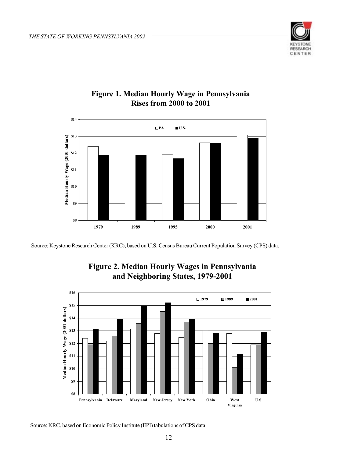



### **Figure 1. Median Hourly Wage in Pennsylvania Rises from 2000 to 2001**

Source: Keystone Research Center (KRC), based on U.S. Census Bureau Current Population Survey (CPS) data.



### **Figure 2. Median Hourly Wages in Pennsylvania and Neighboring States, 1979-2001**

Source: KRC, based on Economic Policy Institute (EPI) tabulations of CPS data.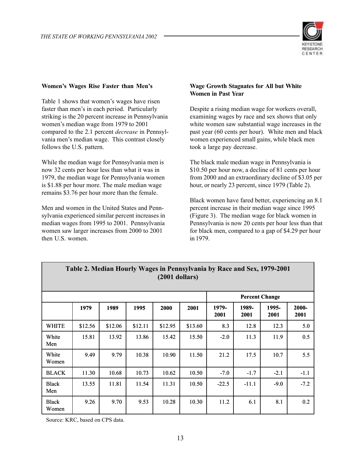

#### **Women's Wages Rise Faster than Men's**

Table 1 shows that women's wages have risen faster than men's in each period. Particularly striking is the 20 percent increase in Pennsylvania women's median wage from 1979 to 2001 compared to the 2.1 percent *decrease* in Pennsylvania men's median wage. This contrast closely follows the U.S. pattern.

While the median wage for Pennsylvania men is now 32 cents per hour less than what it was in 1979, the median wage for Pennsylvania women is \$1.88 per hour more. The male median wage remains \$3.76 per hour more than the female.

Men and women in the United States and Pennsylvania experienced similar percent increases in median wages from 1995 to 2001. Pennsylvania women saw larger increases from 2000 to 2001 then U.S. women.

#### **Wage Growth Stagnates for All but White Women in Past Year**

Despite a rising median wage for workers overall, examining wages by race and sex shows that only white women saw substantial wage increases in the past year (60 cents per hour). White men and black women experienced small gains, while black men took a large pay decrease.

The black male median wage in Pennsylvania is \$10.50 per hour now, a decline of 81 cents per hour from 2000 and an extraordinary decline of \$3.05 per hour, or nearly 23 percent, since 1979 (Table 2).

Black women have fared better, experiencing an 8.1 percent increase in their median wage since 1995 (Figure 3). The median wage for black women in Pennsylvania is now 20 cents per hour less than that for black men, compared to a gap of \$4.29 per hour in 1979.

|                       | $(2001$ dollars) |         |         |                       |         |               |               |               |               |  |  |  |  |
|-----------------------|------------------|---------|---------|-----------------------|---------|---------------|---------------|---------------|---------------|--|--|--|--|
|                       |                  |         |         | <b>Percent Change</b> |         |               |               |               |               |  |  |  |  |
|                       | 1979             | 1989    | 1995    | 2000                  | 2001    | 1979-<br>2001 | 1989-<br>2001 | 1995-<br>2001 | 2000-<br>2001 |  |  |  |  |
| <b>WHITE</b>          | \$12.56          | \$12.06 | \$12.11 | \$12.95               | \$13.60 | 8.3           | 12.8          | 12.3          | 5.0           |  |  |  |  |
| White<br>Men          | 15.81            | 13.92   | 13.86   | 15.42                 | 15.50   | $-2.0$        | 11.3          | 11.9          | 0.5           |  |  |  |  |
| White<br>Women        | 9.49             | 9.79    | 10.38   | 10.90                 | 11.50   | 21.2          | 17.5          | 10.7          | 5.5           |  |  |  |  |
| <b>BLACK</b>          | 11.30            | 10.68   | 10.73   | 10.62                 | 10.50   | $-7.0$        | $-1.7$        | $-2.1$        | $-1.1$        |  |  |  |  |
| <b>Black</b><br>Men   | 13.55            | 11.81   | 11.54   | 11.31                 | 10.50   | $-22.5$       | $-11.1$       | $-9.0$        | $-7.2$        |  |  |  |  |
| <b>Black</b><br>Women | 9.26             | 9.70    | 9.53    | 10.28                 | 10.30   | 11.2          | 6.1           | 8.1           | 0.2           |  |  |  |  |

# **Table 2. Median Hourly Wages in Pennsylvania by Race and Sex, 1979-2001**

Source: KRC, based on CPS data.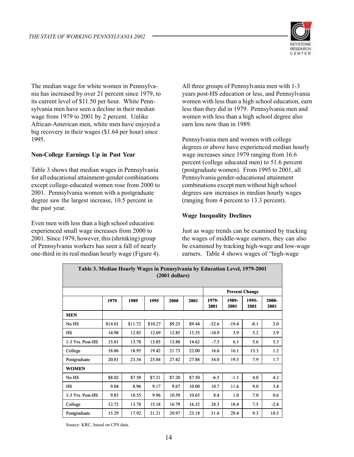

The median wage for white women in Pennsylvania has increased by over 21 percent since 1979, to its current level of \$11.50 per hour. White Pennsylvania men have seen a decline in their median wage from 1979 to 2001 by 2 percent. Unlike African-American men, white men have enjoyed a big recovery in their wages (\$1.64 per hour) since 1995.

#### **Non-College Earnings Up in Past Year**

Table 3 shows that median wages in Pennsylvania for all educational attainment-gender combinations except college-educated women rose from 2000 to 2001. Pennsylvania women with a postgraduate degree saw the largest increase, 10.5 percent in the past year.

Even men with less than a high school education experienced small wage increases from 2000 to 2001. Since 1979, however, this (shrinking) group of Pennsylvania workers has seen a fall of nearly one-third in its real median hourly wage (Figure 4). All three groups of Pennsylvania men with 1-3 years post-HS education or less, and Pennsylvania women with less than a high school education, earn less than they did in 1979. Pennsylvania men and women with less than a high school degree also earn less now than in 1989.

Pennsylvania men and women with college degrees or above have experienced median hourly wage increases since 1979 ranging from 16.6 percent (college educated men) to 51.6 percent (postgraduate women). From 1995 to 2001, all Pennsylvania gender-educational attainment combinations except men without high school degrees saw increases in median hourly wages (ranging from 4 percent to 13.3 percent).

#### **Wage Inequality Declines**

Just as wage trends can be examined by tracking the wages of middle-wage earners, they can also be examined by tracking high-wage and low-wage earners. Table 4 shows wages of "high-wage

|                  | Table 3. Median Hourly Wages in Pennsylvania by Education Level, 1979-2001<br>$(2001$ dollars) |         |         |                       |        |               |               |               |               |  |  |  |  |  |
|------------------|------------------------------------------------------------------------------------------------|---------|---------|-----------------------|--------|---------------|---------------|---------------|---------------|--|--|--|--|--|
|                  |                                                                                                |         |         | <b>Percent Change</b> |        |               |               |               |               |  |  |  |  |  |
|                  | 1979                                                                                           | 1989    | 1995    | 2000                  | 2001   | 1979-<br>2001 | 1989-<br>2001 | 1995-<br>2001 | 2000-<br>2001 |  |  |  |  |  |
| <b>MEN</b>       |                                                                                                |         |         |                       |        |               |               |               |               |  |  |  |  |  |
| No HS            | \$14.01                                                                                        | \$11.72 | \$10.27 | \$9.25                | \$9.44 | $-32.6$       | $-19.4$       | $-8.1$        | 2.0           |  |  |  |  |  |
| <b>HS</b>        | 14.98                                                                                          | 12.85   | 12.69   | 12.85                 | 13.35  | $-10.9$       | 3.9           | 5.2           | 3.9           |  |  |  |  |  |
| 1-3 Yrs. Post-HS | 15.81                                                                                          | 13.78   | 13.85   | 13.88                 | 14.62  | $-7.5$        | 6.1           | 5.6           | 5.3           |  |  |  |  |  |
| College          | 18.86                                                                                          | 18.95   | 19.42   | 21.73                 | 22.00  | 16.6          | 16.1          | 13.3          | 1.2           |  |  |  |  |  |
| Postgraduate     | 20.81                                                                                          | 23.34   | 25.84   | 27.42                 | 27.88  | 34.0          | 19.5          | 7.9           | 1.7           |  |  |  |  |  |
| <b>WOMEN</b>     |                                                                                                |         |         |                       |        |               |               |               |               |  |  |  |  |  |
| No HS            | \$8.02                                                                                         | \$7.58  | \$7.21  | \$7.20                | \$7.50 | $-6.5$        | $-1.1$        | 4.0           | 4.2           |  |  |  |  |  |
| <b>HS</b>        | 9.04                                                                                           | 8.96    | 9.17    | 9.67                  | 10.00  | 10.7          | 11.6          | 9.0           | 3.4           |  |  |  |  |  |
| 1-3 Yrs. Post-HS | 9.83                                                                                           | 10.55   | 9.96    | 10.59                 | 10.65  | 8.4           | 1.0           | 7.0           | 0.6           |  |  |  |  |  |
| College          | 12.72                                                                                          | 13.78   | 15.18   | 16.79                 | 16.32  | 28.3          | 18.4          | 7.5           | $-2.8$        |  |  |  |  |  |
| Postgraduate     | 15.29                                                                                          | 17.92   | 21.21   | 20.97                 | 23.18  | 51.6          | 29.4          | 9.3           | 10.5          |  |  |  |  |  |

Source: KRC, based on CPS data.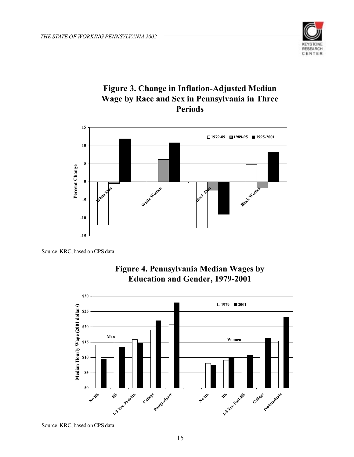

## **Figure 3. Change in Inflation-Adjusted Median Wage by Race and Sex in Pennsylvania in Three Periods**



Source: KRC, based on CPS data.



# **Figure 4. Pennsylvania Median Wages by**

Source: KRC, based on CPS data.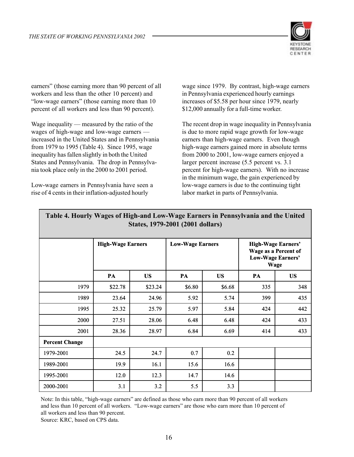

earners" (those earning more than 90 percent of all workers and less than the other 10 percent) and "low-wage earners" (those earning more than 10 percent of all workers and less than 90 percent).

Wage inequality — measured by the ratio of the wages of high-wage and low-wage earners increased in the United States and in Pennsylvania from 1979 to 1995 (Table 4). Since 1995, wage inequality has fallen slightly in both the United States and Pennsylvania. The drop in Pennsylvania took place only in the 2000 to 2001 period.

Low-wage earners in Pennsylvania have seen a rise of 4 cents in their inflation-adjusted hourly

wage since 1979. By contrast, high-wage earners in Pennsylvania experienced hourly earnings increases of \$5.58 per hour since 1979, nearly \$12,000 annually for a full-time worker.

The recent drop in wage inequality in Pennsylvania is due to more rapid wage growth for low-wage earners than high-wage earners. Even though high-wage earners gained more in absolute terms from 2000 to 2001, low-wage earners enjoyed a larger percent increase (5.5 percent vs. 3.1 percent for high-wage earners). With no increase in the minimum wage, the gain experienced by low-wage earners is due to the continuing tight labor market in parts of Pennsylvania.

| States, 1979-2001 (2001 dollars) |                          |           |                         |           |                                                                                       |           |  |  |  |  |  |  |
|----------------------------------|--------------------------|-----------|-------------------------|-----------|---------------------------------------------------------------------------------------|-----------|--|--|--|--|--|--|
|                                  | <b>High-Wage Earners</b> |           | <b>Low-Wage Earners</b> |           | <b>High-Wage Earners'</b><br>Wage as a Percent of<br><b>Low-Wage Earners'</b><br>Wage |           |  |  |  |  |  |  |
|                                  | PA                       | <b>US</b> | PA                      | <b>US</b> | PA                                                                                    | <b>US</b> |  |  |  |  |  |  |
| 1979                             | \$22.78                  | \$23.24   | \$6.80                  | \$6.68    | 335                                                                                   | 348       |  |  |  |  |  |  |
| 1989                             | 23.64                    | 24.96     | 5.92                    | 5.74      | 399                                                                                   | 435       |  |  |  |  |  |  |
| 1995                             | 25.32                    | 25.79     | 5.97                    | 5.84      | 424                                                                                   | 442       |  |  |  |  |  |  |
| 2000                             | 27.51                    | 28.06     | 6.48                    | 6.48      | 424                                                                                   | 433       |  |  |  |  |  |  |
| 2001                             | 28.36                    | 28.97     | 6.84                    | 6.69      | 414                                                                                   | 433       |  |  |  |  |  |  |
| <b>Percent Change</b>            |                          |           |                         |           |                                                                                       |           |  |  |  |  |  |  |
| 1979-2001                        | 24.5                     | 24.7      | 0.7                     | 0.2       |                                                                                       |           |  |  |  |  |  |  |
| 1989-2001                        | 19.9                     | 16.1      | 15.6                    | 16.6      |                                                                                       |           |  |  |  |  |  |  |
| 1995-2001                        | 12.0                     | 12.3      | 14.7                    | 14.6      |                                                                                       |           |  |  |  |  |  |  |
| 2000-2001                        | 3.1                      | 3.2       | 5.5                     | 3.3       |                                                                                       |           |  |  |  |  |  |  |

#### **Table 4. Hourly Wages of High-and Low-Wage Earners in Pennsylvania and the United States, 1979-2001 (2001 dollars)**

Note: In this table, "high-wage earners" are defined as those who earn more than 90 percent of all workers and less than 10 percent of all workers. "Low-wage earners" are those who earn more than 10 percent of all workers and less than 90 percent.

Source: KRC, based on CPS data.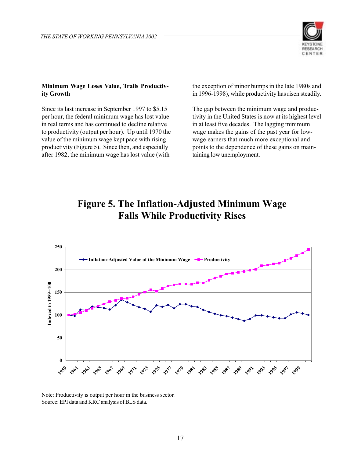

#### **Minimum Wage Loses Value, Trails Productivity Growth**

Since its last increase in September 1997 to \$5.15 per hour, the federal minimum wage has lost value in real terms and has continued to decline relative to productivity (output per hour). Up until 1970 the value of the minimum wage kept pace with rising productivity (Figure 5). Since then, and especially after 1982, the minimum wage has lost value (with

the exception of minor bumps in the late 1980s and in 1996-1998), while productivity has risen steadily.

The gap between the minimum wage and productivity in the United States is now at its highest level in at least five decades. The lagging minimum wage makes the gains of the past year for lowwage earners that much more exceptional and points to the dependence of these gains on maintaining low unemployment.

# **Figure 5. The Inflation-Adjusted Minimum Wage Falls While Productivity Rises**



Note: Productivity is output per hour in the business sector. Source: EPI data and KRC analysis of BLS data.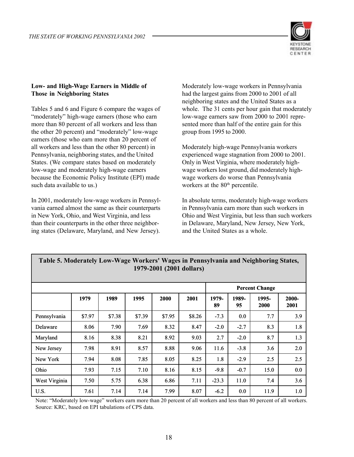

#### **Low- and High-Wage Earners in Middle of Those in Neighboring States**

Tables 5 and 6 and Figure 6 compare the wages of "moderately" high-wage earners (those who earn more than 80 percent of all workers and less than the other 20 percent) and "moderately" low-wage earners (those who earn more than 20 percent of all workers and less than the other 80 percent) in Pennsylvania, neighboring states, and the United States. (We compare states based on moderately low-wage and moderately high-wage earners because the Economic Policy Institute (EPI) made such data available to us.)

In 2001, moderately low-wage workers in Pennsylvania earned almost the same as their counterparts in New York, Ohio, and West Virginia, and less than their counterparts in the other three neighboring states (Delaware, Maryland, and New Jersey).

Moderately low-wage workers in Pennsylvania had the largest gains from 2000 to 2001 of all neighboring states and the United States as a whole. The 31 cents per hour gain that moderately low-wage earners saw from 2000 to 2001 represented more than half of the entire gain for this group from 1995 to 2000.

Moderately high-wage Pennsylvania workers experienced wage stagnation from 2000 to 2001. Only in West Virginia, where moderately highwage workers lost ground, did moderately highwage workers do worse than Pennsylvania workers at the 80<sup>th</sup> percentile.

In absolute terms, moderately high-wage workers in Pennsylvania earn more than such workers in Ohio and West Virginia, but less than such workers in Delaware, Maryland, New Jersey, New York, and the United States as a whole.

|               |        |        |        |        |        |             |             | <b>Percent Change</b> |               |
|---------------|--------|--------|--------|--------|--------|-------------|-------------|-----------------------|---------------|
|               | 1979   | 1989   | 1995   | 2000   | 2001   | 1979-<br>89 | 1989-<br>95 | 1995-<br>2000         | 2000-<br>2001 |
| Pennsylvania  | \$7.97 | \$7.38 | \$7.39 | \$7.95 | \$8.26 | $-7.3$      | 0.0         | 7.7                   | 3.9           |
| Delaware      | 8.06   | 7.90   | 7.69   | 8.32   | 8.47   | $-2.0$      | $-2.7$      | 8.3                   | 1.8           |
| Maryland      | 8.16   | 8.38   | 8.21   | 8.92   | 9.03   | 2.7         | $-2.0$      | 8.7                   | 1.3           |
| New Jersey    | 7.98   | 8.91   | 8.57   | 8.88   | 9.06   | 11.6        | $-3.8$      | 3.6                   | 2.0           |
| New York      | 7.94   | 8.08   | 7.85   | 8.05   | 8.25   | 1.8         | $-2.9$      | 2.5                   | 2.5           |
| Ohio          | 7.93   | 7.15   | 7.10   | 8.16   | 8.15   | $-9.8$      | $-0.7$      | 15.0                  | 0.0           |
| West Virginia | 7.50   | 5.75   | 6.38   | 6.86   | 7.11   | $-23.3$     | 11.0        | 7.4                   | 3.6           |
| U.S.          | 7.61   | 7.14   | 7.14   | 7.99   | 8.07   | $-6.2$      | 0.0         | 11.9                  | 1.0           |

#### **Table 5. Moderately Low-Wage Workers' Wages in Pennsylvania and Neighboring States, 1979-2001 (2001 dollars)**

Note: "Moderately low-wage" workers earn more than 20 percent of all workers and less than 80 percent of all workers. Source: KRC, based on EPI tabulations of CPS data.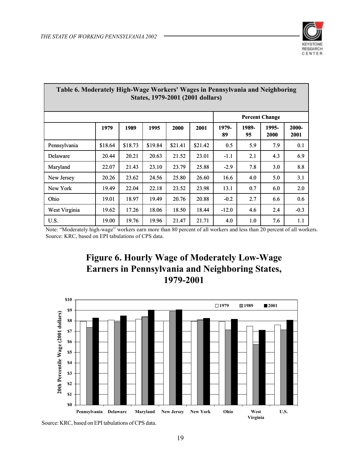

| Table 6. Moderately High-Wage Workers' Wages in Pennsylvania and Neighboring<br>States, 1979-2001 (2001 dollars) |         |         |         |         |         |             |             |               |               |  |  |  |  |
|------------------------------------------------------------------------------------------------------------------|---------|---------|---------|---------|---------|-------------|-------------|---------------|---------------|--|--|--|--|
| <b>Percent Change</b>                                                                                            |         |         |         |         |         |             |             |               |               |  |  |  |  |
|                                                                                                                  | 1979    | 1989    | 1995    | 2000    | 2001    | 1979-<br>89 | 1989-<br>95 | 1995-<br>2000 | 2000-<br>2001 |  |  |  |  |
| Pennsylvania                                                                                                     | \$18.64 | \$18.73 | \$19.84 | \$21.41 | \$21.42 | 0.5         | 5.9         | 7.9           | 0.1           |  |  |  |  |
| Delaware                                                                                                         | 20.44   | 20.21   | 20.63   | 21.52   | 23.01   | $-1.1$      | 2.1         | 4.3           | 6.9           |  |  |  |  |
| Maryland                                                                                                         | 22.07   | 21.43   | 23.10   | 23.79   | 25.88   | $-2.9$      | 7.8         | 3.0           | 8.8           |  |  |  |  |
| New Jersey                                                                                                       | 20.26   | 23.62   | 24.56   | 25.80   | 26.60   | 16.6        | 4.0         | 5.0           | 3.1           |  |  |  |  |
| New York                                                                                                         | 19.49   | 22.04   | 22.18   | 23.52   | 23.98   | 13.1        | 0.7         | 6.0           | 2.0           |  |  |  |  |
| Ohio                                                                                                             | 19.01   | 18.97   | 19.49   | 20.76   | 20.88   | $-0.2$      | 2.7         | 6.6           | 0.6           |  |  |  |  |
| West Virginia                                                                                                    | 19.62   | 17.26   | 18.06   | 18.50   | 18.44   | $-12.0$     | 4.6         | 2.4           | $-0.3$        |  |  |  |  |
| U.S.                                                                                                             | 19.00   | 19.76   | 19.96   | 21.47   | 21.71   | 4.0         | 1.0         | 7.6           | 1.1           |  |  |  |  |

Note: "Moderately high-wage" workers earn more than 80 percent of all workers and less than 20 percent of all workers. Source: KRC, based on EPI tabulations of CPS data.

# **Figure 6. Hourly Wage of Moderately Low-Wage Earners in Pennsylvania and Neighboring States, 1979-2001**



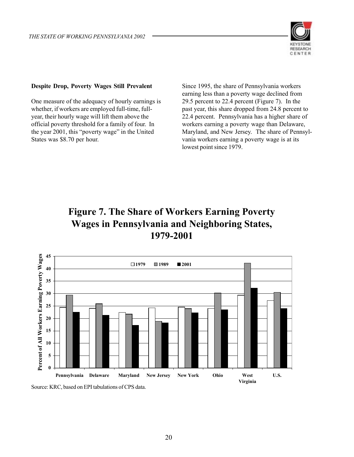

#### **Despite Drop, Poverty Wages Still Prevalent**

One measure of the adequacy of hourly earnings is whether, if workers are employed full-time, fullyear, their hourly wage will lift them above the official poverty threshold for a family of four. In the year 2001, this "poverty wage" in the United States was \$8.70 per hour.

Since 1995, the share of Pennsylvania workers earning less than a poverty wage declined from 29.5 percent to 22.4 percent (Figure 7). In the past year, this share dropped from 24.8 percent to 22.4 percent. Pennsylvania has a higher share of workers earning a poverty wage than Delaware, Maryland, and New Jersey. The share of Pennsylvania workers earning a poverty wage is at its lowest point since 1979.

# **Figure 7. The Share of Workers Earning Poverty Wages in Pennsylvania and Neighboring States, 1979-2001**



Source: KRC, based on EPI tabulations of CPS data.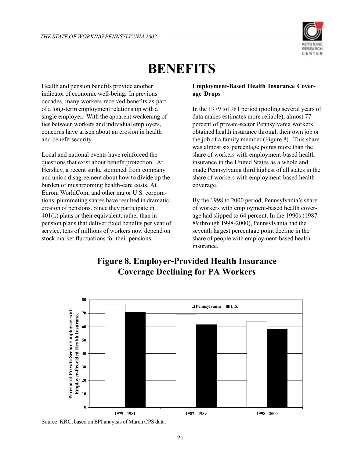

# **BENEFITS**

Health and pension benefits provide another indicator of economic well-being. In previous decades, many workers received benefits as part of a long-term employment relationship with a single employer. With the apparent weakening of ties between workers and individual employers, concerns have arisen about an erosion in health and benefit security.

Local and national events have reinforced the questions that exist about benefit protection. At Hershey, a recent strike stemmed from company and union disagreement about how to divide up the burden of mushrooming health-care costs. At Enron, WorldCom, and other major U.S. corporations, plummeting shares have resulted in dramatic erosion of pensions. Since they participate in 401(k) plans or their equivalent, rather than in pension plans that deliver fixed benefits per year of service, tens of millions of workers now depend on stock market fluctuations for their pensions.

#### **Employment-Based Health Insurance Coverage Drops**

In the 1979 to1981 period (pooling several years of data makes estimates more reliable), almost 77 percent of private-sector Pennsylvania workers obtained health insurance through their own job or the job of a family member (Figure 8). This share was almost six percentage points more than the share of workers with employment-based health insurance in the United States as a whole and made Pennsylvania third highest of all states in the share of workers with employment-based health coverage.

By the 1998 to 2000 period, Pennsylvania's share of workers with employment-based health coverage had slipped to 64 percent. In the 1990s (1987- 89 through 1998-2000), Pennsylvania had the seventh largest percentage point decline in the share of people with employment-based health insurance.



# **Figure 8. Employer-Provided Health Insurance Coverage Declining for PA Workers**

Source: KRC, based on EPI anaylsis of March CPS data.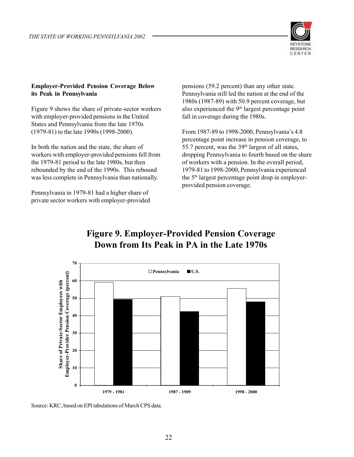

#### **Employer-Provided Pension Coverage Below its Peak in Pennsylvania**

Figure 9 shows the share of private-sector workers with employer-provided pensions in the United States and Pennsylvania from the late 1970s (1979-81) to the late 1990s (1998-2000).

In both the nation and the state, the share of workers with employer-provided pensions fell from the 1979-81 period to the late 1980s, but then rebounded by the end of the 1990s. This rebound was less complete in Pennsylvania than nationally.

Pennsylvania in 1979-81 had a higher share of private sector workers with employer-provided pensions (59.2 percent) than any other state. Pennsylvania still led the nation at the end of the 1980s (1987-89) with 50.9 percent coverage, but also experienced the  $9<sup>th</sup>$  largest percentage point fall in coverage during the 1980s.

From 1987-89 to 1998-2000, Pennsylvania's 4.8 percentage point increase in pension coverage, to 55.7 percent, was the  $39<sup>th</sup>$  largest of all states, dropping Pennsylvania to fourth based on the share of workers with a pension. In the overall period, 1979-81 to 1998-2000, Pennsylvania experienced the 5<sup>th</sup> largest percentage point drop in employerprovided pension coverage.

# **Figure 9. Employer-Provided Pension Coverage Down from Its Peak in PA in the Late 1970s**



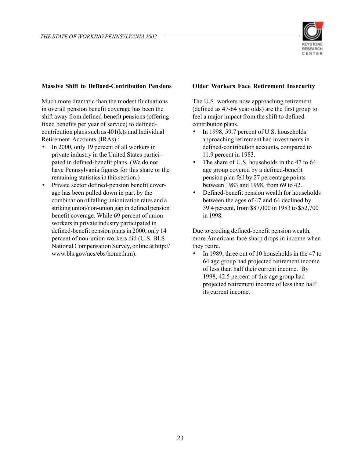

#### **Massive Shift to Defined-Contribution Pensions**

Much more dramatic than the modest fluctuations in overall pension benefit coverage has been the shift away from defined-benefit pensions (offering fixed benefits per year of service) to definedcontribution plans such as  $401(k)$ s and Individual Retirement Accounts (IRAs).2

- In 2000, only 19 percent of all workers in private industry in the United States participated in defined-benefit plans. (We do not have Pennsylvania figures for this share or the remaining statistics in this section.)
- Private sector defined-pension benefit coverage has been pulled down in part by the combination of falling unionization rates and a striking union/non-union gap in defined pension benefit coverage. While 69 percent of union workers in private industry participated in defined-benefit pension plans in 2000, only 14 percent of non-union workers did (U.S. BLS National Compensation Survey, online at http:// www.bls.gov/ncs/ebs/home.htm).

#### **Older Workers Face Retirement Insecurity**

The U.S. workers now approaching retirement (defined as 47-64 year olds) are the first group to feel a major impact from the shift to definedcontribution plans.

- In 1998, 59.7 percent of U.S. households approaching retirement had investments in defined-contribution accounts, compared to 11.9 percent in 1983.
- The share of U.S. households in the 47 to 64 age group covered by a defined-benefit pension plan fell by 27 percentage points between 1983 and 1998, from 69 to 42.
- Defined-benefit pension wealth for households between the ages of 47 and 64 declined by 39.4 percent, from \$87,000 in 1983 to \$52,700 in 1998.

Due to eroding defined-benefit pension wealth, more Americans face sharp drops in income when they retire.

• In 1989, three out of 10 households in the 47 to 64 age group had projected retirement income of less than half their current income. By 1998, 42.5 percent of this age group had projected retirement income of less than half its current income.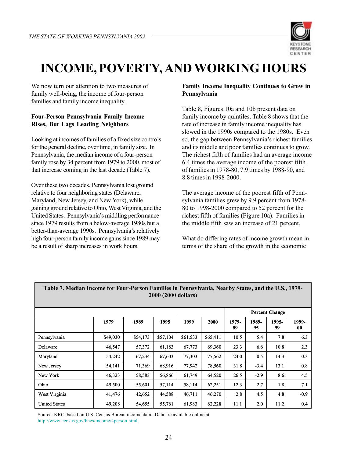

# **INCOME, POVERTY, AND WORKING HOURS**

We now turn our attention to two measures of family well-being, the income of four-person families and family income inequality.

#### **Four-Person Pennsylvania Family Income Rises, But Lags Leading Neighbors**

Looking at incomes of families of a fixed size controls for the general decline, over time, in family size. In Pennsylvania, the median income of a four-person family rose by 34 percent from 1979 to 2000, most of that increase coming in the last decade (Table 7).

Over these two decades, Pennsylvania lost ground relative to four neighboring states (Delaware, Maryland, New Jersey, and New York), while gaining ground relative to Ohio, West Virginia, and the United States. Pennsylvania's middling performance since 1979 results from a below-average 1980s but a better-than-average 1990s. Pennsylvania's relatively high four-person family income gains since 1989 may be a result of sharp increases in work hours.

#### **Family Income Inequality Continues to Grow in Pennsylvania**

Table 8, Figures 10a and 10b present data on family income by quintiles. Table 8 shows that the rate of increase in family income inequality has slowed in the 1990s compared to the 1980s. Even so, the gap between Pennsylvania's richest families and its middle and poor families continues to grow. The richest fifth of families had an average income 6.4 times the average income of the poorest fifth of families in 1978-80, 7.9 times by 1988-90, and 8.8 times in 1998-2000.

The average income of the poorest fifth of Pennsylvania families grew by 9.9 percent from 1978- 80 to 1998-2000 compared to 52 percent for the richest fifth of families (Figure 10a). Families in the middle fifth saw an increase of 21 percent.

What do differing rates of income growth mean in terms of the share of the growth in the economic

| Table 7. Miculali Hitoliit Ivi Tuul-I ti sull Fallints III I tiilisylvälliä, Istalby Statts, and the U.S., 1979-<br>2000 (2000 dollars) |          |          |          |          |          |             |             |                       |             |  |  |  |
|-----------------------------------------------------------------------------------------------------------------------------------------|----------|----------|----------|----------|----------|-------------|-------------|-----------------------|-------------|--|--|--|
|                                                                                                                                         |          |          |          |          |          |             |             | <b>Percent Change</b> |             |  |  |  |
|                                                                                                                                         | 1979     | 1989     | 1995     | 1999     | 2000     | 1979-<br>89 | 1989-<br>95 | 1995-<br>99           | 1999-<br>00 |  |  |  |
| Pennsylvania                                                                                                                            | \$49,030 | \$54,173 | \$57,104 | \$61,533 | \$65,411 | 10.5        | 5.4         | 7.8                   | 6.3         |  |  |  |
| Delaware                                                                                                                                | 46,547   | 57,372   | 61,183   | 67,773   | 69,360   | 23.3        | 6.6         | 10.8                  | 2.3         |  |  |  |
| Maryland                                                                                                                                | 54,242   | 67,234   | 67,603   | 77,303   | 77,562   | 24.0        | 0.5         | 14.3                  | 0.3         |  |  |  |
| New Jersey                                                                                                                              | 54,141   | 71,369   | 68,916   | 77,942   | 78,560   | 31.8        | $-3.4$      | 13.1                  | 0.8         |  |  |  |
| New York                                                                                                                                | 46,323   | 58,583   | 56,866   | 61,749   | 64,520   | 26.5        | $-2.9$      | 8.6                   | 4.5         |  |  |  |
| Ohio                                                                                                                                    | 49,500   | 55,601   | 57,114   | 58,114   | 62,251   | 12.3        | 2.7         | 1.8                   | 7.1         |  |  |  |
| West Virginia                                                                                                                           | 41,476   | 42,652   | 44,588   | 46,711   | 46,270   | 2.8         | 4.5         | 4.8                   | $-0.9$      |  |  |  |
| <b>United States</b>                                                                                                                    | 49,208   | 54,655   | 55,761   | 61,983   | 62,228   | 11.1        | 2.0         | 11.2                  | 0.4         |  |  |  |

**Table 7. Median Income for Four-Person Families in Pennsylvania, Nearby States, and the U.S., 1979-**

Source: KRC, based on U.S. Census Bureau income data. Data are available online at http://www.census.gov/hhes/income/4person.html.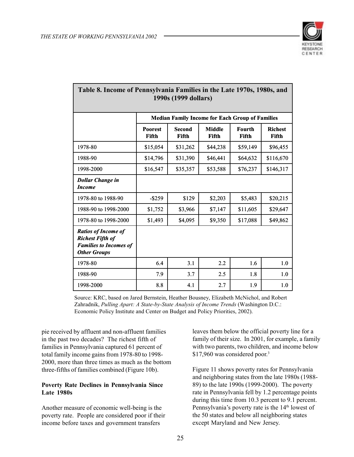

| Table 6. Hicome of I emisylvania Palmites in the Late 17/0s, 1760s, and<br>1990s (1999 dollars)               |                                                        |                        |                        |                        |                         |  |  |  |  |  |  |
|---------------------------------------------------------------------------------------------------------------|--------------------------------------------------------|------------------------|------------------------|------------------------|-------------------------|--|--|--|--|--|--|
|                                                                                                               | <b>Median Family Income for Each Group of Families</b> |                        |                        |                        |                         |  |  |  |  |  |  |
|                                                                                                               | <b>Poorest</b><br>Fifth                                | <b>Second</b><br>Fifth | <b>Middle</b><br>Fifth | <b>Fourth</b><br>Fifth | <b>Richest</b><br>Fifth |  |  |  |  |  |  |
| 1978-80                                                                                                       | \$15,054                                               | \$31,262               | \$44,238               | \$59,149               | \$96,455                |  |  |  |  |  |  |
| 1988-90                                                                                                       | \$14,796                                               | \$31,390               | \$46,441               | \$64,632               | \$116,670               |  |  |  |  |  |  |
| 1998-2000                                                                                                     | \$16,547                                               | \$35,357               | \$53,588               | \$76,237               | \$146,317               |  |  |  |  |  |  |
| <b>Dollar Change in</b><br><b>Income</b>                                                                      |                                                        |                        |                        |                        |                         |  |  |  |  |  |  |
| 1978-80 to 1988-90                                                                                            | $-$ \$259                                              | \$129                  | \$2,203                | \$5,483                | \$20,215                |  |  |  |  |  |  |
| 1988-90 to 1998-2000                                                                                          | \$1,752                                                | \$3,966                | \$7,147                | \$11,605               | \$29,647                |  |  |  |  |  |  |
| 1978-80 to 1998-2000                                                                                          | \$1,493                                                | \$4,095                | \$9,350                | \$17,088               | \$49,862                |  |  |  |  |  |  |
| <b>Ratios of Income of</b><br><b>Richest Fifth of</b><br><b>Families to Incomes of</b><br><b>Other Groups</b> |                                                        |                        |                        |                        |                         |  |  |  |  |  |  |
| 1978-80                                                                                                       | 6.4                                                    | 3.1                    | 2.2                    | 1.6                    | 1.0                     |  |  |  |  |  |  |
| 1988-90                                                                                                       | 7.9                                                    | 3.7                    | 2.5                    | 1.8                    | 1.0                     |  |  |  |  |  |  |
| 1998-2000                                                                                                     | 8.8                                                    | 4.1                    | 2.7                    | 1.9                    | 1.0                     |  |  |  |  |  |  |

# **Table 8. Income of Pennsylvania Families in the Late 1970s, 1980s, and**

Source: KRC, based on Jared Bernstein, Heather Bousney, Elizabeth McNichol, and Robert Zahradnik, *Pulling Apart: A State-by-State Analysis of Income Trends* (Washington D.C.: Economic Policy Institute and Center on Budget and Policy Priorities, 2002).

pie received by affluent and non-affluent families in the past two decades? The richest fifth of families in Pennsylvania captured 61 percent of total family income gains from 1978-80 to 1998- 2000, more than three times as much as the bottom three-fifths of families combined (Figure 10b).

#### **Poverty Rate Declines in Pennsylvania Since Late 1980s**

Another measure of economic well-being is the poverty rate. People are considered poor if their income before taxes and government transfers

leaves them below the official poverty line for a family of their size. In 2001, for example, a family with two parents, two children, and income below \$17,960 was considered poor.<sup>3</sup>

Figure 11 shows poverty rates for Pennsylvania and neighboring states from the late 1980s (1988- 89) to the late 1990s (1999-2000). The poverty rate in Pennsylvania fell by 1.2 percentage points during this time from 10.3 percent to 9.1 percent. Pennsylvania's poverty rate is the 14<sup>th</sup> lowest of the 50 states and below all neighboring states except Maryland and New Jersey.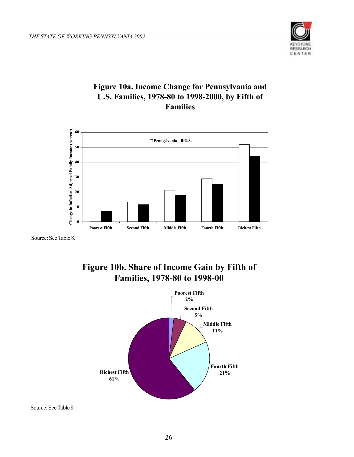

### **Figure 10a. Income Change for Pennsylvania and U.S. Families, 1978-80 to 1998-2000, by Fifth of Families**



Source: See Table 8.





Source: See Table 8.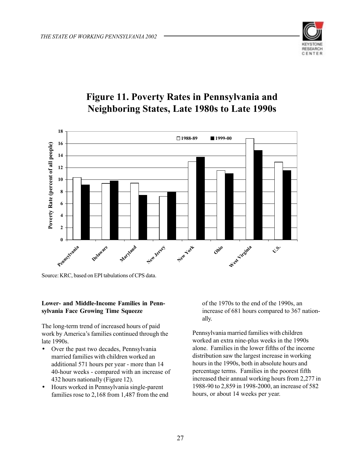

# **Figure 11. Poverty Rates in Pennsylvania and Neighboring States, Late 1980s to Late 1990s**



Source: KRC, based on EPI tabulations of CPS data.

#### **Lower- and Middle-Income Families in Pennsylvania Face Growing Time Squeeze**

The long-term trend of increased hours of paid work by America's families continued through the late 1990s.

- Over the past two decades, Pennsylvania married families with children worked an additional 571 hours per year - more than 14 40-hour weeks - compared with an increase of 432 hours nationally (Figure 12).
- Hours worked in Pennsylvania single-parent families rose to 2,168 from 1,487 from the end

of the 1970s to the end of the 1990s, an increase of 681 hours compared to 367 nationally.

Pennsylvania married families with children worked an extra nine-plus weeks in the 1990s alone. Families in the lower fifths of the income distribution saw the largest increase in working hours in the 1990s, both in absolute hours and percentage terms. Families in the poorest fifth increased their annual working hours from 2,277 in 1988-90 to 2,859 in 1998-2000, an increase of 582 hours, or about 14 weeks per year.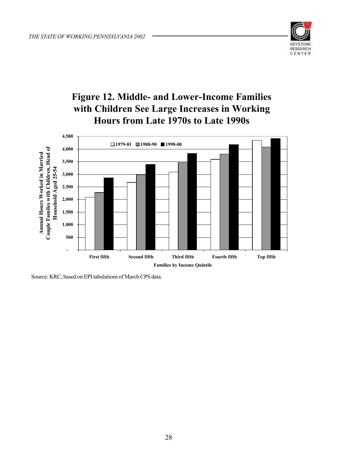

# **Figure 12. Middle- and Lower-Income Families with Children See Large Increases in Working Hours from Late 1970s to Late 1990s**



Source: KRC, based on EPI tabulations of March CPS data.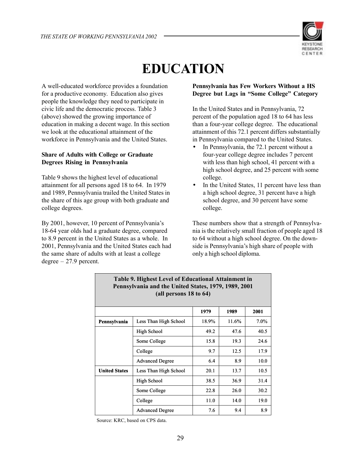

# **EDUCATION**

A well-educated workforce provides a foundation for a productive economy. Education also gives people the knowledge they need to participate in civic life and the democratic process. Table 3 (above) showed the growing importance of education in making a decent wage. In this section we look at the educational attainment of the workforce in Pennsylvania and the United States.

#### **Share of Adults with College or Graduate Degrees Rising in Pennsylvania**

Table 9 shows the highest level of educational attainment for all persons aged 18 to 64. In 1979 and 1989, Pennsylvania trailed the United States in the share of this age group with both graduate and college degrees.

By 2001, however, 10 percent of Pennsylvania's 18-64 year olds had a graduate degree, compared to 8.9 percent in the United States as a whole. In 2001, Pennsylvania and the United States each had the same share of adults with at least a college  $degree - 27.9$  percent.

#### **Pennsylvania has Few Workers Without a HS Degree but Lags in "Some College" Category**

In the United States and in Pennsylvania, 72 percent of the population aged 18 to 64 has less than a four-year college degree. The educational attainment of this 72.1 percent differs substantially in Pennsylvania compared to the United States.

- In Pennsylvania, the 72.1 percent without a four-year college degree includes 7 percent with less than high school, 41 percent with a high school degree, and 25 percent with some college.
- In the United States, 11 percent have less than a high school degree, 31 percent have a high school degree, and 30 percent have some college.

These numbers show that a strength of Pennsylvania is the relatively small fraction of people aged 18 to 64 without a high school degree. On the downside is Pennsylvania's high share of people with only a high school diploma.

|                      | Pennsylvania and the United States, 1979, 1969, 2001<br>(all persons 18 to 64) |       |       |         |  |  |  |  |  |  |  |  |
|----------------------|--------------------------------------------------------------------------------|-------|-------|---------|--|--|--|--|--|--|--|--|
|                      |                                                                                | 1979  | 1989  | 2001    |  |  |  |  |  |  |  |  |
| Pennsylvania         | Less Than High School                                                          | 18.9% | 11.6% | $7.0\%$ |  |  |  |  |  |  |  |  |
|                      | High School                                                                    | 49.2  | 47.6  | 40.5    |  |  |  |  |  |  |  |  |
|                      | Some College                                                                   | 15.8  | 19.3  | 24.6    |  |  |  |  |  |  |  |  |
|                      | College                                                                        | 9.7   | 12.5  | 17.9    |  |  |  |  |  |  |  |  |
|                      | <b>Advanced Degree</b>                                                         | 6.4   | 8.9   | 10.0    |  |  |  |  |  |  |  |  |
| <b>United States</b> | Less Than High School                                                          | 20.1  | 13.7  | 10.5    |  |  |  |  |  |  |  |  |
|                      | High School                                                                    | 38.5  | 36.9  | 31.4    |  |  |  |  |  |  |  |  |
|                      | Some College                                                                   | 22.8  | 26.0  | 30.2    |  |  |  |  |  |  |  |  |
|                      | College                                                                        | 11.0  | 14.0  | 19.0    |  |  |  |  |  |  |  |  |
|                      | <b>Advanced Degree</b>                                                         | 7.6   | 9.4   | 8.9     |  |  |  |  |  |  |  |  |

# **Table 9. Highest Level of Educational Attainment in Pennsylvania and the United States, 1979, 1989, 2001**

Source: KRC, based on CPS data.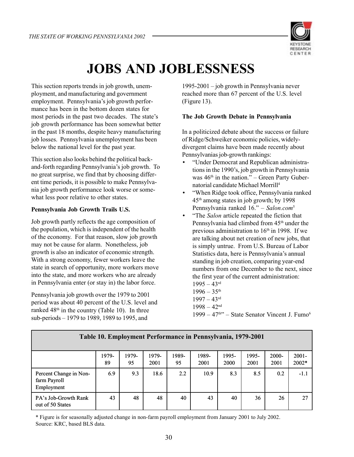

# **JOBS AND JOBLESSNESS**

This section reports trends in job growth, unemployment, and manufacturing and government employment. Pennsylvania's job growth performance has been in the bottom dozen states for most periods in the past two decades. The state's job growth performance has been somewhat better in the past 18 months, despite heavy manufacturing job losses. Pennsylvania unemployment has been below the national level for the past year.

This section also looks behind the political backand-forth regarding Pennsylvania's job growth. To no great surprise, we find that by choosing different time periods, it is possible to make Pennsylvania job growth performance look worse or somewhat less poor relative to other states.

#### **Pennsylvania Job Growth Trails U.S.**

Job growth partly reflects the age composition of the population, which is independent of the health of the economy. For that reason, slow job growth may not be cause for alarm. Nonetheless, job growth is also an indicator of economic strength. With a strong economy, fewer workers leave the state in search of opportunity, more workers move into the state, and more workers who are already in Pennsylvania enter (or stay in) the labor force.

Pennsylvania job growth over the 1979 to 2001 period was about 40 percent of the U.S. level and ranked 48<sup>th</sup> in the country (Table 10). In three sub-periods – 1979 to 1989, 1989 to 1995, and

1995-2001 – job growth in Pennsylvania never reached more than 67 percent of the U.S. level (Figure 13).

#### **The Job Growth Debate in Pennsylvania**

In a politicized debate about the success or failure of Ridge/Schweiker economic policies, widelydivergent claims have been made recently about Pennsylvanias job-growth rankings:

- "Under Democrat and Republican administrations in the 1990's, job growth in Pennsylvania was  $46<sup>th</sup>$  in the nation." – Green Party Gubernatorial candidate Michael Morrill4
- "When Ridge took office, Pennsylvania ranked 45th among states in job growth; by 1998 Pennsylvania ranked 16." – *Salon.com*<sup>5</sup>
- "The *Salon* article repeated the fiction that Pennsylvania had climbed from 45<sup>th</sup> under the previous administration to  $16<sup>th</sup>$  in 1998. If we are talking about net creation of new jobs, that is simply untrue. From U.S. Bureau of Labor Statistics data, here is Pennsylvania's annual standing in job creation, comparing year-end numbers from one December to the next, since the first year of the current administration:  $1995 - 43$ <sup>rd</sup>
	- $1996 35$ <sup>th</sup>
	- $1997 43$ <sup>rd</sup>
	- $1998 42<sup>nd</sup>$
	- $1999 47$ <sup>th</sup>" State Senator Vincent J. Fumo<sup>6</sup>

| Table 10. Employment Performance in Pennsylvania, 1979-2001 |             |             |               |             |               |               |               |                  |                   |  |  |
|-------------------------------------------------------------|-------------|-------------|---------------|-------------|---------------|---------------|---------------|------------------|-------------------|--|--|
|                                                             | 1979-<br>89 | 1979-<br>95 | 1979-<br>2001 | 1989-<br>95 | 1989-<br>2001 | 1995-<br>2000 | 1995-<br>2001 | $2000 -$<br>2001 | $2001 -$<br>2002* |  |  |
| Percent Change in Non-<br>farm Payroll<br>Employment        | 6.9         | 9.3         | 18.6          | 2.2         | 10.9          | 8.3           | 8.5           | 0.2              | $-1.1$            |  |  |
| PA's Job-Growth Rank<br>out of 50 States                    | 43          | 48          | 48            | 40          | 43            | 40            | 36            | 26               | 27                |  |  |

\* Figure is for seasonally adjusted change in non-farm payroll employment from January 2001 to July 2002. Source: KRC, based BLS data.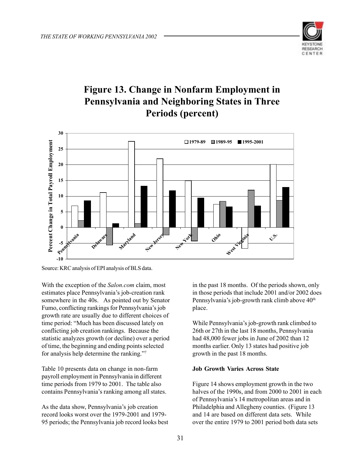

# **Figure 13. Change in Nonfarm Employment in Pennsylvania and Neighboring States in Three Periods (percent)**



Source: KRC analysis of EPI analysis of BLS data.

With the exception of the *Salon.com* claim, most estimates place Pennsylvania's job-creation rank somewhere in the 40s. As pointed out by Senator Fumo, conflicting rankings for Pennsylvania's job growth rate are usually due to different choices of time period: "Much has been discussed lately on conflicting job creation rankings. Because the statistic analyzes growth (or decline) over a period of time, the beginning and ending points selected for analysis help determine the ranking."7

Table 10 presents data on change in non-farm payroll employment in Pennsylvania in different time periods from 1979 to 2001. The table also contains Pennsylvania's ranking among all states.

As the data show, Pennsylvania's job creation record looks worst over the 1979-2001 and 1979- 95 periods; the Pennsylvania job record looks best in the past 18 months. Of the periods shown, only in those periods that include 2001 and/or 2002 does Pennsylvania's job-growth rank climb above  $40<sup>th</sup>$ place.

While Pennsylvania's job-growth rank climbed to 26th or 27th in the last 18 months, Pennsylvania had 48,000 fewer jobs in June of 2002 than 12 months earlier. Only 13 states had positive job growth in the past 18 months.

#### **Job Growth Varies Across State**

Figure 14 shows employment growth in the two halves of the 1990s, and from 2000 to 2001 in each of Pennsylvania's 14 metropolitan areas and in Philadelphia and Allegheny counties. (Figure 13 and 14 are based on different data sets. While over the entire 1979 to 2001 period both data sets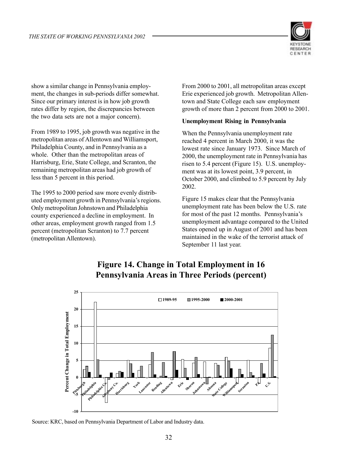

show a similar change in Pennsylvania employment, the changes in sub-periods differ somewhat. Since our primary interest is in how job growth rates differ by region, the discrepancies between the two data sets are not a major concern).

From 1989 to 1995, job growth was negative in the metropolitan areas of Allentown and Williamsport, Philadelphia County, and in Pennsylvania as a whole. Other than the metropolitan areas of Harrisburg, Erie, State College, and Scranton, the remaining metropolitan areas had job growth of less than 5 percent in this period.

The 1995 to 2000 period saw more evenly distributed employment growth in Pennsylvania's regions. Only metropolitan Johnstown and Philadelphia county experienced a decline in employment. In other areas, employment growth ranged from 1.5 percent (metropolitan Scranton) to 7.7 percent (metropolitan Allentown).

From 2000 to 2001, all metropolitan areas except Erie experienced job growth. Metropolitan Allentown and State College each saw employment growth of more than 2 percent from 2000 to 2001.

#### **Unemployment Rising in Pennsylvania**

When the Pennsylvania unemployment rate reached 4 percent in March 2000, it was the lowest rate since January 1973. Since March of 2000, the unemployment rate in Pennsylvania has risen to 5.4 percent (Figure 15). U.S. unemployment was at its lowest point, 3.9 percent, in October 2000, and climbed to 5.9 percent by July 2002.

Figure 15 makes clear that the Pennsylvania unemployment rate has been below the U.S. rate for most of the past 12 months. Pennsylvania's unemployment advantage compared to the United States opened up in August of 2001 and has been maintained in the wake of the terrorist attack of September 11 last year.



### **Figure 14. Change in Total Employment in 16 Pennsylvania Areas in Three Periods (percent)**

Source: KRC, based on Pennsylvania Department of Labor and Industry data.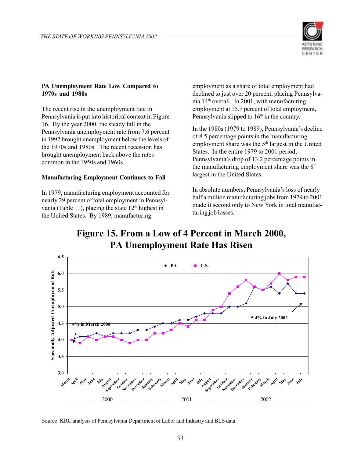

#### **PA Unemployment Rate Low Compared to 1970s and 1980s**

The recent rise in the unemployment rate in Pennsylvania is put into historical context in Figure 16. By the year 2000, the steady fall in the Pennsylvania unemployment rate from 7.6 percent in 1992 brought unemployment below the levels of the 1970s and 1980s. The recent recession has brought unemployment back above the rates common in the 1950s and 1960s.

#### **Manufacturing Employment Continues to Fall**

In 1979, manufacturing employment accounted for nearly 29 percent of total employment in Pennsylvania (Table 11), placing the state  $12<sup>th</sup>$  highest in the United States. By 1989, manufacturing

employment as a share of total employment had declined to just over 20 percent, placing Pennsylvania 14th overall. In 2001, with manufacturing employment at 15.7 percent of total employment, Pennsylvania slipped to 16<sup>th</sup> in the country.

In the 1980s (1979 to 1989), Pennsylvania's decline of 8.5 percentage points in the manufacturing employment share was the 5<sup>th</sup> largest in the United States. In the entire 1979 to 2001 period, Pennsylvania's drop of 13.2 percentage points in the manufacturing employment share was the  $8<sup>th</sup>$ largest in the United States.

In absolute numbers, Pennsylvania's loss of nearly half a million manufacturing jobs from 1979 to 2001 made it second only to New York in total manufacturing job losses.

# **Figure 15. From a Low of 4 Percent in March 2000, PA Unemployment Rate Has Risen**



Source: KRC analysis of Pennsylvania Department of Labor and Industry and BLS data.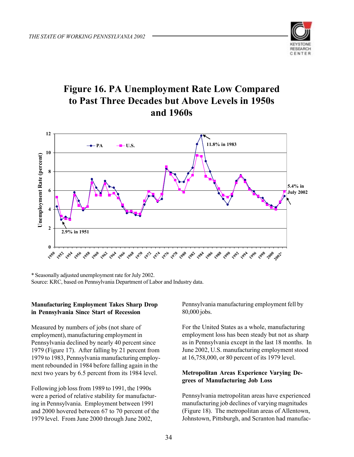

# **Figure 16. PA Unemployment Rate Low Compared to Past Three Decades but Above Levels in 1950s and 1960s**



\* Seasonally adjusted unemployment rate for July 2002. Source: KRC, based on Pennsylvania Department of Labor and Industry data.

#### **Manufacturing Employment Takes Sharp Drop in Pennsylvania Since Start of Recession**

Measured by numbers of jobs (not share of employment), manufacturing employment in Pennsylvania declined by nearly 40 percent since 1979 (Figure 17). After falling by 21 percent from 1979 to 1983, Pennsylvania manufacturing employment rebounded in 1984 before falling again in the next two years by 6.5 percent from its 1984 level.

Following job loss from 1989 to 1991, the 1990s were a period of relative stability for manufacturing in Pennsylvania. Employment between 1991 and 2000 hovered between 67 to 70 percent of the 1979 level. From June 2000 through June 2002,

Pennsylvania manufacturing employment fell by 80,000 jobs.

For the United States as a whole, manufacturing employment loss has been steady but not as sharp as in Pennsylvania except in the last 18 months. In June 2002, U.S. manufacturing employment stood at 16,758,000, or 80 percent of its 1979 level.

#### **Metropolitan Areas Experience Varying Degrees of Manufacturing Job Loss**

Pennsylvania metropolitan areas have experienced manufacturing job declines of varying magnitudes (Figure 18). The metropolitan areas of Allentown, Johnstown, Pittsburgh, and Scranton had manufac-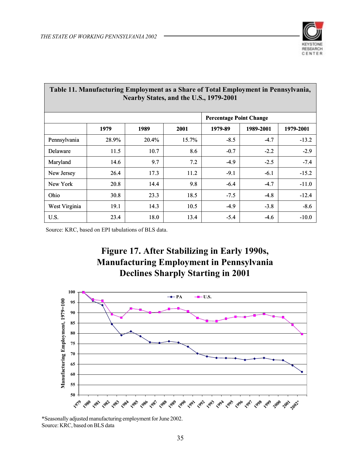

|               | Table 11. Manufacturing Employment as a Share of Total Employment in Pennsylvania,<br>Nearby States, and the U.S., 1979-2001 |       |       |                                |           |           |  |  |  |  |  |  |  |  |
|---------------|------------------------------------------------------------------------------------------------------------------------------|-------|-------|--------------------------------|-----------|-----------|--|--|--|--|--|--|--|--|
|               |                                                                                                                              |       |       | <b>Percentage Point Change</b> |           |           |  |  |  |  |  |  |  |  |
|               | 1979                                                                                                                         | 1989  | 2001  | 1979-89                        | 1989-2001 | 1979-2001 |  |  |  |  |  |  |  |  |
| Pennsylvania  | 28.9%                                                                                                                        | 20.4% | 15.7% | $-8.5$                         | $-4.7$    | $-13.2$   |  |  |  |  |  |  |  |  |
| Delaware      | 11.5                                                                                                                         | 10.7  | 8.6   | $-0.7$                         | $-2.2$    | $-2.9$    |  |  |  |  |  |  |  |  |
| Maryland      | 14.6                                                                                                                         | 9.7   | 7.2   | $-4.9$                         | $-2.5$    | $-7.4$    |  |  |  |  |  |  |  |  |
| New Jersey    | 26.4                                                                                                                         | 17.3  | 11.2  | $-9.1$                         | $-6.1$    | $-15.2$   |  |  |  |  |  |  |  |  |
| New York      | 20.8                                                                                                                         | 14.4  | 9.8   | $-6.4$                         | $-4.7$    | $-11.0$   |  |  |  |  |  |  |  |  |
| <b>Ohio</b>   | 30.8                                                                                                                         | 23.3  | 18.5  | $-7.5$                         | $-4.8$    | $-12.4$   |  |  |  |  |  |  |  |  |
| West Virginia | 19.1                                                                                                                         | 14.3  | 10.5  | $-4.9$                         | $-3.8$    | $-8.6$    |  |  |  |  |  |  |  |  |
| U.S.          | 23.4                                                                                                                         | 18.0  | 13.4  | $-5.4$                         | -4.6      | $-10.0$   |  |  |  |  |  |  |  |  |

Source: KRC, based on EPI tabulations of BLS data.





\*Seasonally adjusted manufacturing employment for June 2002. Source: KRC, based on BLS data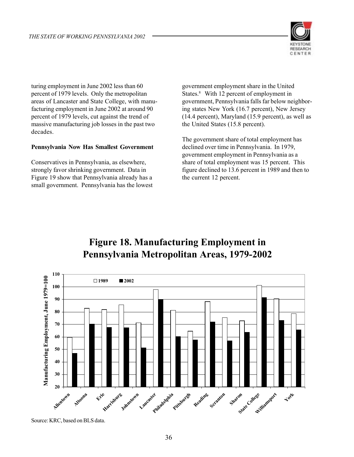

turing employment in June 2002 less than 60 percent of 1979 levels. Only the metropolitan areas of Lancaster and State College, with manufacturing employment in June 2002 at around 90 percent of 1979 levels, cut against the trend of massive manufacturing job losses in the past two decades.

#### **Pennsylvania Now Has Smallest Government**

Conservatives in Pennsylvania, as elsewhere, strongly favor shrinking government. Data in Figure 19 show that Pennsylvania already has a small government. Pennsylvania has the lowest government employment share in the United States.<sup>8</sup> With 12 percent of employment in government, Pennsylvania falls far below neighboring states New York (16.7 percent), New Jersey (14.4 percent), Maryland (15.9 percent), as well as the United States (15.8 percent).

The government share of total employment has declined over time in Pennsylvania. In 1979, government employment in Pennsylvania as a share of total employment was 15 percent. This figure declined to 13.6 percent in 1989 and then to the current 12 percent.

# **Figure 18. Manufacturing Employment in Pennsylvania Metropolitan Areas, 1979-2002**



Source: KRC, based on BLS data.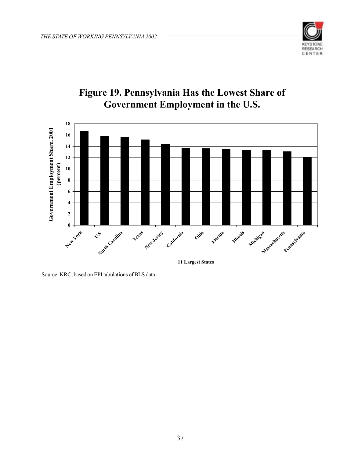



# **Figure 19. Pennsylvania Has the Lowest Share of Government Employment in the U.S.**

Source: KRC, based on EPI tabulations of BLS data.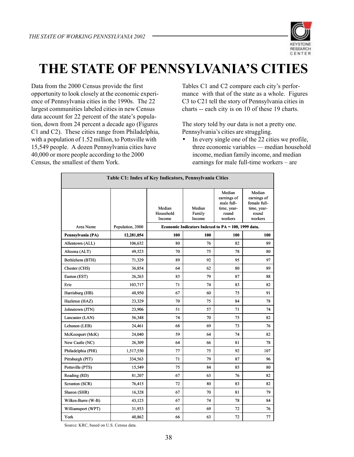

# **THE STATE OF PENNSYLVANIA'S CITIES**

Data from the 2000 Census provide the first opportunity to look closely at the economic experience of Pennsylvania cities in the 1990s. The 22 largest communities labeled cities in new Census data account for 22 percent of the state's population, down from 24 percent a decade ago (Figures C1 and C2). These cities range from Philadelphia, with a population of 1.52 million, to Pottsville with 15,549 people. A dozen Pennsylvania cities have 40,000 or more people according to the 2000 Census, the smallest of them York.

Tables C1 and C2 compare each city's performance with that of the state as a whole. Figures C3 to C21 tell the story of Pennsylvania cities in charts -- each city is on 10 of these 19 charts.

The story told by our data is not a pretty one. Pennsylvania's cities are struggling.

• In every single one of the 22 cities we profile, three economic variables — median household income, median family income, and median earnings for male full-time workers – are

| Table C1: Index of Key Indicators, Pennsylvania Cities |                  |                                                                                 |                            |                                                                        |                                                                          |  |  |
|--------------------------------------------------------|------------------|---------------------------------------------------------------------------------|----------------------------|------------------------------------------------------------------------|--------------------------------------------------------------------------|--|--|
| Area Name                                              | Population, 2000 | Median<br>Household<br>Income                                                   | Median<br>Family<br>Income | Median<br>earnings of<br>male full-<br>time, year-<br>round<br>workers | Median<br>earnings of<br>female full-<br>time, year-<br>round<br>workers |  |  |
| Pennsylvania (PA)                                      | 12,281,054       | Economic Indicators Indexed to PA = 100, 1999 data.<br>100<br>100<br>100<br>100 |                            |                                                                        |                                                                          |  |  |
| Allentown (ALL)                                        | 106,632          | 80                                                                              | 76                         | 82                                                                     | 89                                                                       |  |  |
| Altoona (ALT)                                          | 49,523           | 70                                                                              | 75                         | 78                                                                     | 80                                                                       |  |  |
| Bethlehem (BTH)                                        | 71,329           | 89                                                                              | 92                         | 95                                                                     | 97                                                                       |  |  |
| Chester (CHS)                                          | 36,854           | 64                                                                              | 62                         | 80                                                                     | 89                                                                       |  |  |
| Easton (EST)                                           | 26,263           | 83                                                                              | 79                         | 87                                                                     | 88                                                                       |  |  |
| Erie                                                   | 103,717          | 71                                                                              | 74                         | 83                                                                     | 82                                                                       |  |  |
| Harrisburg (HB)                                        | 48,950           | 67                                                                              | 60                         | 75                                                                     | 91                                                                       |  |  |
| Hazleton (HAZ)                                         | 23,329           | 70                                                                              | 75                         | 84                                                                     | 78                                                                       |  |  |
| Johnstown (JTN)                                        | 23,906           | 51                                                                              | 57                         | 71                                                                     | 74                                                                       |  |  |
| Lancaster (LAN)                                        | 56,348           | 74                                                                              | 70                         | 75                                                                     | 82                                                                       |  |  |
| Lebanon (LEB)                                          | 24,461           | 68                                                                              | 69                         | 73                                                                     | 76                                                                       |  |  |
| McKeesport (McK)                                       | 24,040           | 59                                                                              | 64                         | 74                                                                     | 82                                                                       |  |  |
| New Castle (NC)                                        | 26,309           | 64                                                                              | 66                         | 81                                                                     | 78                                                                       |  |  |
| Philadelphia (PHI)                                     | 1,517,550        | 77                                                                              | 75                         | 92                                                                     | 107                                                                      |  |  |
| Pittsburgh (PIT)                                       | 334,563          | 71                                                                              | 79                         | 87                                                                     | 96                                                                       |  |  |
| Pottsville (PTS)                                       | 15,549           | 75                                                                              | 84                         | 85                                                                     | 80                                                                       |  |  |
| Reading (RD)                                           | 81,207           | 67                                                                              | 63                         | 76                                                                     | 82                                                                       |  |  |
| Scranton (SCR)                                         | 76,415           | 72                                                                              | 80                         | 83                                                                     | 82                                                                       |  |  |
| Sharon (SHR)                                           | 16,328           | 67                                                                              | 70                         | 81                                                                     | 79                                                                       |  |  |
| Wilkes-Barre (W-B)                                     | 43,123           | 67                                                                              | 74                         | 78                                                                     | 84                                                                       |  |  |
| Williamsport (WPT)                                     | 31,933           | 65                                                                              | 69                         | 72                                                                     | 76                                                                       |  |  |
| York                                                   | 40,862           | 66                                                                              | 63                         | 72                                                                     | 77                                                                       |  |  |

Source: KRC, based on U.S. Census data.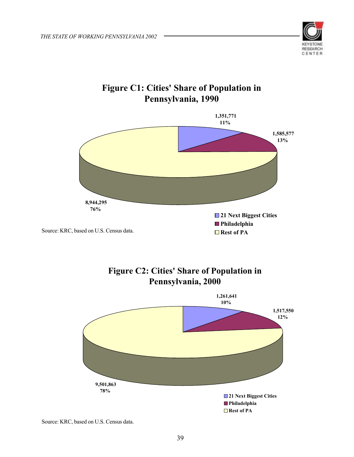

# **Figure C1: Cities' Share of Population in Pennsylvania, 1990**



## **Figure C2: Cities' Share of Population in Pennsylvania, 2000**



Source: KRC, based on U.S. Census data.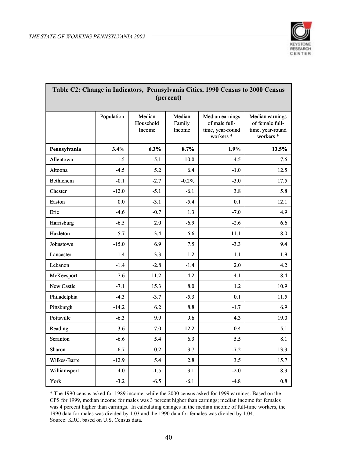

| Table C2: Change in Indicators, Pennsylvania Cities, 1990 Census to 2000 Census<br>(percent) |            |                               |                            |                                                                              |                                                                                |  |  |  |
|----------------------------------------------------------------------------------------------|------------|-------------------------------|----------------------------|------------------------------------------------------------------------------|--------------------------------------------------------------------------------|--|--|--|
|                                                                                              | Population | Median<br>Household<br>Income | Median<br>Family<br>Income | Median earnings<br>of male full-<br>time, year-round<br>workers <sup>*</sup> | Median earnings<br>of female full-<br>time, year-round<br>workers <sup>*</sup> |  |  |  |
| Pennsylvania                                                                                 | 3.4%       | 6.3%                          | 8.7%                       | 1.9%                                                                         | 13.5%                                                                          |  |  |  |
| Allentown                                                                                    | 1.5        | $-5.1$                        | $-10.0$                    | $-4.5$                                                                       | 7.6                                                                            |  |  |  |
| Altoona                                                                                      | $-4.5$     | 5.2                           | 6.4                        | $-1.0$                                                                       | 12.5                                                                           |  |  |  |
| <b>Bethlehem</b>                                                                             | $-0.1$     | $-2.7$                        | $-0.2%$                    | $-3.0$                                                                       | 17.5                                                                           |  |  |  |
| Chester                                                                                      | $-12.0$    | $-5.1$                        | $-6.1$                     | 3.8                                                                          | 5.8                                                                            |  |  |  |
| Easton                                                                                       | 0.0        | $-3.1$                        | $-5.4$                     | 0.1                                                                          | 12.1                                                                           |  |  |  |
| Erie                                                                                         | $-4.6$     | $-0.7$                        | 1.3                        | $-7.0$                                                                       | 4.9                                                                            |  |  |  |
| Harrisburg                                                                                   | $-6.5$     | 2.0                           | $-6.9$                     | $-2.6$                                                                       | 6.6                                                                            |  |  |  |
| Hazleton                                                                                     | $-5.7$     | 3.4                           | 6.6                        | 11.1                                                                         | 8.0                                                                            |  |  |  |
| Johnstown                                                                                    | $-15.0$    | 6.9                           | 7.5                        | $-3.3$                                                                       | 9.4                                                                            |  |  |  |
| Lancaster                                                                                    | 1.4        | 3.3                           | $-1.2$                     | $-1.1$                                                                       | 1.9                                                                            |  |  |  |
| Lebanon                                                                                      | $-1.4$     | $-2.8$                        | $-1.4$                     | 2.0                                                                          | 4.2                                                                            |  |  |  |
| McKeesport                                                                                   | $-7.6$     | 11.2                          | 4.2                        | $-4.1$                                                                       | 8.4                                                                            |  |  |  |
| New Castle                                                                                   | $-7.1$     | 15.3                          | 8.0                        | 1.2                                                                          | 10.9                                                                           |  |  |  |
| Philadelphia                                                                                 | $-4.3$     | $-3.7$                        | $-5.3$                     | 0.1                                                                          | 11.5                                                                           |  |  |  |
| Pittsburgh                                                                                   | $-14.2$    | 6.2                           | 8.8                        | $-1.7$                                                                       | 6.9                                                                            |  |  |  |
| Pottsville                                                                                   | $-6.3$     | 9.9                           | 9.6                        | 4.3                                                                          | 19.0                                                                           |  |  |  |
| Reading                                                                                      | 3.6        | $-7.0$                        | $-12.2$                    | 0.4                                                                          | 5.1                                                                            |  |  |  |
| Scranton                                                                                     | $-6.6$     | 5.4                           | 6.3                        | 5.5                                                                          | 8.1                                                                            |  |  |  |
| Sharon                                                                                       | $-6.7$     | 0.2                           | 3.7                        | $-7.2$                                                                       | 13.3                                                                           |  |  |  |
| Wilkes-Barre                                                                                 | $-12.9$    | 5.4                           | 2.8                        | 3.5                                                                          | 15.7                                                                           |  |  |  |
| Williamsport                                                                                 | 4.0        | $-1.5$                        | 3.1                        | $-2.0$                                                                       | 8.3                                                                            |  |  |  |
| York                                                                                         | $-3.2$     | $-6.5$                        | $-6.1$                     | $-4.8$                                                                       | 0.8                                                                            |  |  |  |

# **Table C2: Change in Indicators, Pennsylvania Cities, 1990 Census to 2000 Census**

\* The 1990 census asked for 1989 income, while the 2000 census asked for 1999 earnings. Based on the CPS for 1999, median income for males was 3 percent higher than earnings; median income for females was 4 percent higher than earnings. In calculating changes in the median income of full-time workers, the 1990 data for males was divided by 1.03 and the 1990 data for females was divided by 1.04. Source: KRC, based on U.S. Census data.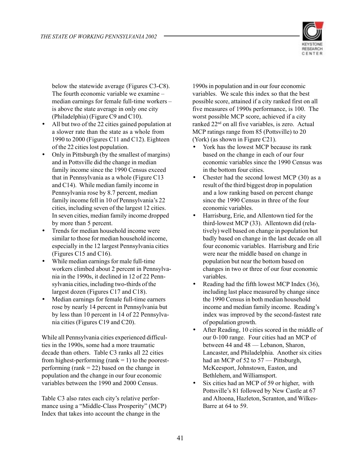

below the statewide average (Figures C3-C8). The fourth economic variable we examine – median earnings for female full-time workers – is above the state average in only one city (Philadelphia) (Figure C9 and C10).

- All but two of the 22 cities gained population at a slower rate than the state as a whole from 1990 to 2000 (Figures C11 and C12). Eighteen of the 22 cities lost population.
- Only in Pittsburgh (by the smallest of margins) and in Pottsville did the change in median family income since the 1990 Census exceed that in Pennsylvania as a whole (Figure C13 and C14). While median family income in Pennsylvania rose by 8.7 percent, median family income fell in 10 of Pennsylvania's 22 cities, including seven of the largest 12 cities. In seven cities, median family income dropped by more than 5 percent.
- Trends for median household income were similar to those for median household income, especially in the 12 largest Pennsylvania cities (Figures C15 and C16).
- While median earnings for male full-time workers climbed about 2 percent in Pennsylvania in the 1990s, it declined in 12 of 22 Pennsylvania cities, including two-thirds of the largest dozen (Figures C17 and C18).
- Median earnings for female full-time earners rose by nearly 14 percent in Pennsylvania but by less than 10 percent in 14 of 22 Pennsylvania cities (Figures C19 and C20).

While all Pennsylvania cities experienced difficulties in the 1990s, some had a more traumatic decade than others. Table C3 ranks all 22 cities from highest-performing (rank  $= 1$ ) to the poorestperforming (rank = 22) based on the change in population and the change in our four economic variables between the 1990 and 2000 Census.

Table C3 also rates each city's relative performance using a "Middle-Class Prosperity" (MCP) Index that takes into account the change in the

1990s in population and in our four economic variables. We scale this index so that the best possible score, attained if a city ranked first on all five measures of 1990s performance, is 100. The worst possible MCP score, achieved if a city ranked 22nd on all five variables, is zero. Actual MCP ratings range from 85 (Pottsville) to 20 (York) (as shown in Figure C21).

- York has the lowest MCP because its rank based on the change in each of our four economic variables since the 1990 Census was in the bottom four cities.
- Chester had the second lowest MCP (30) as a result of the third biggest drop in population and a low ranking based on percent change since the 1990 Census in three of the four economic variables.
- Harrisburg, Erie, and Allentown tied for the third-lowest MCP (33). Allentown did (relatively) well based on change in population but badly based on change in the last decade on all four economic variables. Harrisburg and Erie were near the middle based on change in population but near the bottom based on changes in two or three of our four economic variables.
- Reading had the fifth lowest MCP Index (36), including last place measured by change since the 1990 Census in both median household income and median family income. Reading's index was improved by the second-fastest rate of population growth.
- After Reading, 10 cities scored in the middle of our 0-100 range. Four cities had an MCP of between 44 and 48 — Lebanon, Sharon, Lancaster, and Philadelphia. Another six cities had an MCP of 52 to 57 — Pittsburgh, McKeesport, Johnstown, Easton, and Bethlehem, and Williamsport.
- Six cities had an MCP of 59 or higher, with Pottsville's 81 followed by New Castle at 67 and Altoona, Hazleton, Scranton, and Wilkes-Barre at 64 to 59.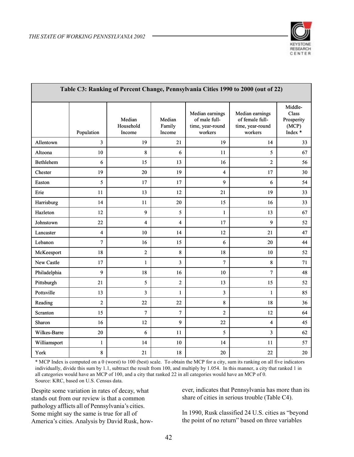

| Table C3: Ranking of Percent Change, Pennsylvania Cities 1990 to 2000 (out of 22) |                         |                               |                            |                                                                 |                                                                   |                                                    |  |
|-----------------------------------------------------------------------------------|-------------------------|-------------------------------|----------------------------|-----------------------------------------------------------------|-------------------------------------------------------------------|----------------------------------------------------|--|
|                                                                                   | Population              | Median<br>Household<br>Income | Median<br>Family<br>Income | Median earnings<br>of male full-<br>time, year-round<br>workers | Median earnings<br>of female full-<br>time, year-round<br>workers | Middle-<br>Class<br>Prosperity<br>(MCP)<br>Index * |  |
| Allentown                                                                         | 3                       | 19                            | 21                         | 19                                                              | 14                                                                | 33                                                 |  |
| Altoona                                                                           | 10                      | 8                             | 6                          | 11                                                              | 5                                                                 | 67                                                 |  |
| <b>Bethlehem</b>                                                                  | 6                       | 15                            | 13                         | 16                                                              | $\overline{c}$                                                    | 56                                                 |  |
| Chester                                                                           | 19                      | 20                            | 19                         | 4                                                               | 17                                                                | 30                                                 |  |
| Easton                                                                            | 5                       | 17                            | 17                         | 9                                                               | 6                                                                 | 54                                                 |  |
| Erie                                                                              | 11                      | 13                            | 12                         | 21                                                              | 19                                                                | 33                                                 |  |
| Harrisburg                                                                        | 14                      | 11                            | 20                         | 15                                                              | 16                                                                | 33                                                 |  |
| Hazleton                                                                          | 12                      | 9                             | 5                          | $\mathbf{1}$                                                    | 13                                                                | 67                                                 |  |
| Johnstown                                                                         | 22                      | $\overline{\mathbf{4}}$       | $\overline{\mathbf{4}}$    | 17                                                              | 9                                                                 | 52                                                 |  |
| Lancaster                                                                         | $\overline{\mathbf{4}}$ | 10                            | 14                         | 12                                                              | 21                                                                | 47                                                 |  |
| Lebanon                                                                           | $\overline{7}$          | 16                            | 15                         | 6                                                               | 20                                                                | 44                                                 |  |
| McKeesport                                                                        | 18                      | $\overline{c}$                | 8                          | 18                                                              | 10                                                                | 52                                                 |  |
| New Castle                                                                        | 17                      | $\mathbf{1}$                  | 3                          | $\overline{7}$                                                  | 8                                                                 | 71                                                 |  |
| Philadelphia                                                                      | 9                       | 18                            | 16                         | 10                                                              | 7                                                                 | 48                                                 |  |
| Pittsburgh                                                                        | 21                      | 5                             | $\overline{c}$             | 13                                                              | 15                                                                | 52                                                 |  |
| Pottsville                                                                        | 13                      | 3                             | $\mathbf{1}$               | 3                                                               | $\mathbf{1}$                                                      | 85                                                 |  |
| Reading                                                                           | $\overline{c}$          | 22                            | 22                         | 8                                                               | 18                                                                | 36                                                 |  |
| Scranton                                                                          | 15                      | 7                             | $\tau$                     | $\overline{2}$                                                  | 12                                                                | 64                                                 |  |
| Sharon                                                                            | 16                      | 12                            | 9                          | 22                                                              | 4                                                                 | 45                                                 |  |
| Wilkes-Barre                                                                      | 20                      | 6                             | 11                         | 5                                                               | 3                                                                 | 62                                                 |  |
| Williamsport                                                                      | $\mathbf{1}$            | 14                            | 10                         | 14                                                              | 11                                                                | 57                                                 |  |
| York                                                                              | 8                       | 21                            | 18                         | 20                                                              | 22                                                                | 20                                                 |  |

\* MCP Index is computed on a 0 (worst) to 100 (best) scale. To obtain the MCP for a city, sum its ranking on all five indicators individually, divide this sum by 1.1, subtract the result from 100, and multiply by 1.054. In this manner, a city that ranked 1 in all categories would have an MCP of 100, and a city that ranked 22 in all categories would have an MCP of 0. Source: KRC, based on U.S. Census data.

Despite some variation in rates of decay, what stands out from our review is that a common pathology afflicts all of Pennsylvania's cities. Some might say the same is true for all of America's cities. Analysis by David Rusk, however, indicates that Pennsylvania has more than its share of cities in serious trouble (Table C4).

In 1990, Rusk classified 24 U.S. cities as "beyond the point of no return" based on three variables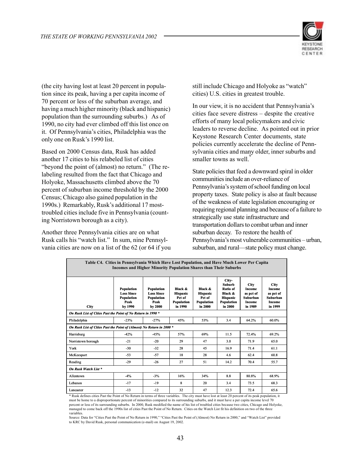

(the city having lost at least 20 percent in population since its peak, having a per capita income of 70 percent or less of the suburban average, and having a much higher minority (black and hispanic) population than the surrounding suburbs.) As of 1990, no city had ever climbed off this list once on it. Of Pennsylvania's cities, Philadelphia was the only one on Rusk's 1990 list.

Based on 2000 Census data, Rusk has added another 17 cities to his relabeled list of cities "beyond the point of (almost) no return." (The relabeling resulted from the fact that Chicago and Holyoke, Massachusetts climbed above the 70 percent of suburban income threshold by the 2000 Census; Chicago also gained population in the 1990s.) Remarkably, Rusk's additional 17 mosttroubled cities include five in Pennsylvania (counting Norristown borough as a city).

Another three Pennsylvania cities are on what Rusk calls his "watch list." In sum, nine Pennsylvania cities are now on a list of the 62 (or 64 if you still include Chicago and Holyoke as "watch" cities) U.S. cities in greatest trouble.

In our view, it is no accident that Pennsylvania's cities face severe distress – despite the creative efforts of many local policymakers and civic leaders to reverse decline. As pointed out in prior Keystone Research Center documents, state policies currently accelerate the decline of Pennsylvania cities and many older, inner suburbs and smaller towns as well.

State policies that feed a downward spiral in older communities include an over-reliance of Pennsylvania's system of school funding on local property taxes. State policy is also at fault because of the weakness of state legislation encouraging or requiring regional planning and because of a failure to strategically use state infrastructure and transportation dollars to combat urban and inner suburban decay. To restore the health of Pennsylvania's most vulnerable communities – urban, suburban, and rural—state policy must change.

| Table C4. Cities in Pennsylvania Which Have Lost Population, and Have Much Lower Per Capita<br><b>Incomes and Higher Minority Population Shares than Their Suburbs</b> |                                                                         |                                                                  |                                                                      |                                                               |                                                                                                  |                                                                            |                                                                                   |  |
|------------------------------------------------------------------------------------------------------------------------------------------------------------------------|-------------------------------------------------------------------------|------------------------------------------------------------------|----------------------------------------------------------------------|---------------------------------------------------------------|--------------------------------------------------------------------------------------------------|----------------------------------------------------------------------------|-----------------------------------------------------------------------------------|--|
| <b>City</b>                                                                                                                                                            | Population<br><b>Loss Since</b><br><b>Population</b><br>Peak<br>by 1990 | Population<br><b>Loss Since</b><br>Population<br>Peak<br>by 2000 | Black &<br><b>Hispanic</b><br>Pct of<br><b>Population</b><br>in 1990 | Black &<br><b>Hispanic</b><br>Pct of<br>Population<br>in 2000 | City-<br><b>Suburb</b><br>Ratio of<br>Black &<br><b>Hispanic</b><br><b>Population</b><br>in 2000 | <b>City</b><br>Income<br>as pct of<br><b>Suburban</b><br>Income<br>in 1989 | <b>City</b><br>Income<br>as pct of<br><b>Suburban</b><br><b>Income</b><br>in 1999 |  |
| On Rusk List of Cities Past the Point of No Return in 1990 *                                                                                                           |                                                                         |                                                                  |                                                                      |                                                               |                                                                                                  |                                                                            |                                                                                   |  |
| Philadelphia                                                                                                                                                           | $-23%$                                                                  | $-27%$                                                           | 45%                                                                  | 53%                                                           | 34                                                                                               | 64.2%                                                                      | 60.0%                                                                             |  |
| On Rusk List of Cities Past the Point of (Almost) No Return in 2000 *                                                                                                  |                                                                         |                                                                  |                                                                      |                                                               |                                                                                                  |                                                                            |                                                                                   |  |
| Harrisburg                                                                                                                                                             | $-42%$                                                                  | $-45%$                                                           | 57%                                                                  | 69%                                                           | 11.5                                                                                             | 72.4%                                                                      | 69.2%                                                                             |  |
| Norristown borough                                                                                                                                                     | $-21$                                                                   | $-20$                                                            | 29                                                                   | 47                                                            | 3.0                                                                                              | 71.9                                                                       | 65.0                                                                              |  |
| York                                                                                                                                                                   | $-30$                                                                   | $-32$                                                            | 28                                                                   | 45                                                            | 16.9                                                                                             | 71.4                                                                       | 61.1                                                                              |  |
| McKeesport                                                                                                                                                             | $-53$                                                                   | $-57$                                                            | 18                                                                   | 28                                                            | 4.6                                                                                              | 62.4                                                                       | 60.8                                                                              |  |
| Reading                                                                                                                                                                | $-29$                                                                   | $-26$                                                            | 27                                                                   | 51                                                            | 14.2                                                                                             | 70.4                                                                       | 55.7                                                                              |  |
| On Rusk Watch List *                                                                                                                                                   |                                                                         |                                                                  |                                                                      |                                                               |                                                                                                  |                                                                            |                                                                                   |  |
| Allentown                                                                                                                                                              | $-4%$                                                                   | $-3%$                                                            | 16%                                                                  | 34%                                                           | 8.8                                                                                              | 80.8%                                                                      | 68.9%                                                                             |  |
| Lebanon                                                                                                                                                                | $-17$                                                                   | $-19$                                                            | 8                                                                    | 20                                                            | 3.4                                                                                              | 73.5                                                                       | 68.3                                                                              |  |
| Lancaster                                                                                                                                                              | $-13$                                                                   | $-12$                                                            | 32<br>$\cdot$ $\cdot$ $\cdot$                                        | 47                                                            | 12.3                                                                                             | 72.4<br>$\sim$ 1                                                           | 65.6                                                                              |  |

\* Rusk defines cities Past the Point of No Return in terms of three variables. The city must have lost at least 20 percent of its peak population, it must be home to a disproportionate percent of minorities compared to its surrounding suburbs, and it must have a per capita income level 70 percent or less of its surrounding suburbs. In 2000, Rusk modified the name of his list of troubled cities because two cities, Chicago and Holyoke, managed to come back off the 1990s list of cities Past the Point of No Return. Cities on the Watch List fit his definition on two of the three variables.

Source: Data for "Cities Past the Point of No Return in 1990," "Cities Past the Point of (Almost) No Return in 2000," and "Watch List" provided to KRC by David Rusk, personal communication (e-mail) on August 19, 2002.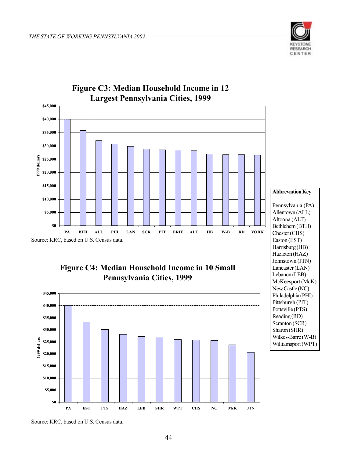



# Source: KRC, based on U.S. Census data.

### **Figure C4: Median Household Income in 10 Small Pennsylvania Cities, 1999**



**Abbreviation Key** Pennsylvania (PA) Allentown (ALL) Altoona (ALT) Bethlehem (BTH) Chester (CHS) Easton (EST) Harrisburg (HB) Hazleton (HAZ) Johnstown (JTN) Lancaster (LAN) Lebanon (LEB) McKeesport (McK) New Castle (NC) Philadelphia (PHI) Pittsburgh (PIT) Pottsville (PTS) Reading (RD) Scranton (SCR) Sharon (SHR) Wilkes-Barre (W-B) Williamsport (WPT)

Source: KRC, based on U.S. Census data.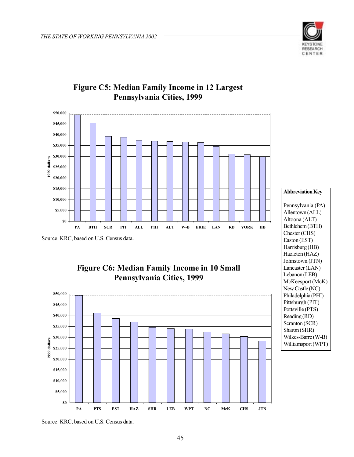



### **Figure C5: Median Family Income in 12 Largest Pennsylvania Cities, 1999**

Source: KRC, based on U.S. Census data.



### **Figure C6: Median Family Income in 10 Small Pennsylvania Cities, 1999**



Source: KRC, based on U.S. Census data.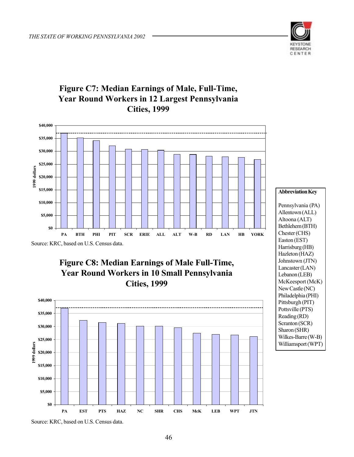

# **Figure C7: Median Earnings of Male, Full-Time, Year Round Workers in 12 Largest Pennsylvania Cities, 1999**









Pennsylvania (PA) Allentown (ALL) Altoona (ALT) Bethlehem (BTH) Chester (CHS) Easton (EST) Harrisburg (HB) Hazleton (HAZ) Johnstown (JTN) Lancaster (LAN) Lebanon (LEB) McKeesport (McK) New Castle (NC) Philadelphia (PHI) Pittsburgh (PIT) Pottsville (PTS) Reading (RD) Scranton (SCR) Sharon (SHR) Wilkes-Barre (W-B) Williamsport (WPT)

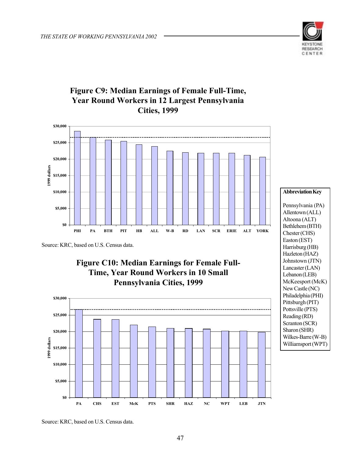

### **Figure C9: Median Earnings of Female Full-Time, Year Round Workers in 12 Largest Pennsylvania Cities, 1999**



Source: KRC, based on U.S. Census data.







Source: KRC, based on U.S. Census data.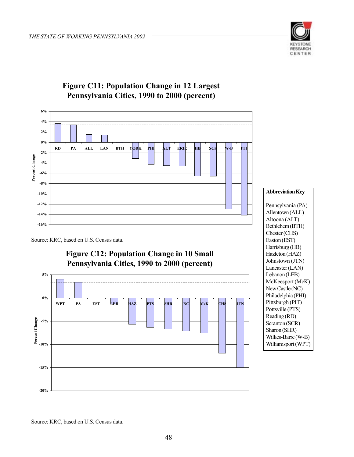

### **Figure C11: Population Change in 12 Largest Pennsylvania Cities, 1990 to 2000 (percent)**



#### Source: KRC, based on U.S. Census data.

### **Figure C12: Population Change in 10 Small Pennsylvania Cities, 1990 to 2000 (percent)**



#### **Abbreviation Key**

Pennsylvania (PA) Allentown (ALL) Altoona (ALT) Bethlehem (BTH) Chester (CHS) Easton (EST) Harrisburg (HB) Hazleton (HAZ) Johnstown (JTN) Lancaster (LAN) Lebanon (LEB) McKeesport (McK) New Castle (NC) Philadelphia (PHI) Pittsburgh (PIT) Pottsville (PTS) Reading (RD) Scranton (SCR) Sharon (SHR) Wilkes-Barre (W-B) Williamsport (WPT)

Source: KRC, based on U.S. Census data.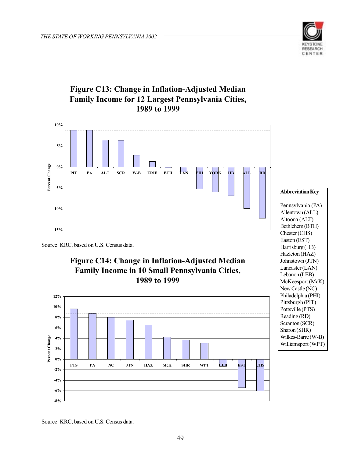

### **Figure C13: Change in Inflation-Adjusted Median Family Income for 12 Largest Pennsylvania Cities, 1989 to 1999**



Source: KRC, based on U.S. Census data.

**-8%**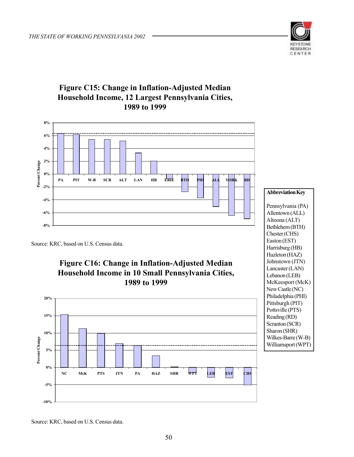

### **Figure C15: Change in Inflation-Adjusted Median Household Income, 12 Largest Pennsylvania Cities, 1989 to 1999**



#### **Abbreviation Key**

Source: KRC, based on U.S. Census data.

### **Figure C16: Change in Inflation-Adjusted Median Household Income in 10 Small Pennsylvania Cities, 1989 to 1999**



Pennsylvania (PA) Allentown (ALL) Altoona (ALT) Bethlehem (BTH) Chester (CHS) Easton (EST) Harrisburg (HB) Hazleton (HAZ) Johnstown (JTN) Lancaster (LAN) Lebanon (LEB) McKeesport (McK) New Castle (NC) Philadelphia (PHI) Pittsburgh (PIT) Pottsville (PTS) Reading (RD) Scranton (SCR) Sharon (SHR) Wilkes-Barre (W-B) Williamsport (WPT)

Source: KRC, based on U.S. Census data.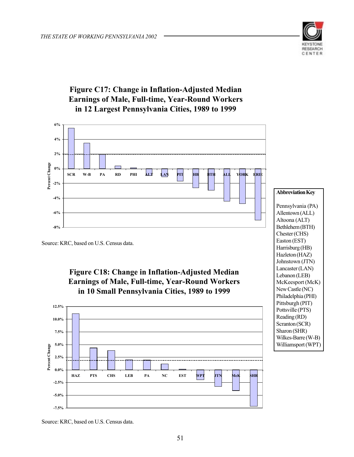

### **Figure C17: Change in Inflation-Adjusted Median Earnings of Male, Full-time, Year-Round Workers in 12 Largest Pennsylvania Cities, 1989 to 1999**



Source: KRC, based on U.S. Census data.

### **Figure C18: Change in Inflation-Adjusted Median Earnings of Male, Full-time, Year-Round Workers in 10 Small Pennsylvania Cities, 1989 to 1999**



**Abbreviation Key** Pennsylvania (PA) Allentown (ALL) Altoona (ALT) Bethlehem (BTH) Chester (CHS) Easton (EST) Harrisburg (HB) Hazleton (HAZ) Johnstown (JTN) Lancaster (LAN) Lebanon (LEB) McKeesport (McK) New Castle (NC) Philadelphia (PHI) Pittsburgh (PIT) Pottsville (PTS) Reading (RD) Scranton (SCR) Sharon (SHR) Wilkes-Barre (W-B) Williamsport (WPT)

Source: KRC, based on U.S. Census data.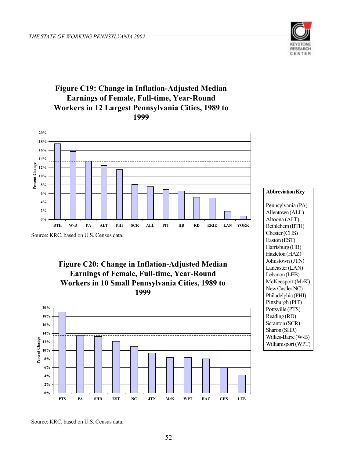

### **Figure C19: Change in Inflation-Adjusted Median Earnings of Female, Full-time, Year-Round Workers in 12 Largest Pennsylvania Cities, 1989 to 1999**



Source: KRC, based on U.S. Census data.

**Figure C20: Change in Inflation-Adjusted Median Earnings of Female, Full-time, Year-Round Workers in 10 Small Pennsylvania Cities, 1989 to 1999** 





Source: KRC, based on U.S. Census data.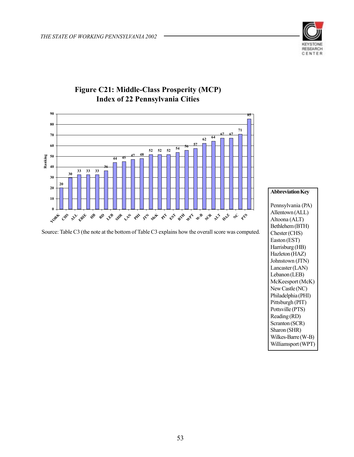



### **Figure C21: Middle-Class Prosperity (MCP) Index of 22 Pennsylvania Cities**

Source: Table C3 (the note at the bottom of Table C3 explains how the overall score was computed.

**Abbreviation Key**

Pennsylvania (PA) Allentown (ALL) Altoona (ALT) Bethlehem (BTH) Chester (CHS) Easton (EST) Harrisburg (HB) Hazleton (HAZ) Johnstown (JTN) Lancaster (LAN) Lebanon (LEB) McKeesport (McK) New Castle (NC) Philadelphia (PHI) Pittsburgh (PIT) Pottsville (PTS) Reading (RD) Scranton (SCR) Sharon (SHR) Wilkes-Barre (W-B) Williamsport (WPT)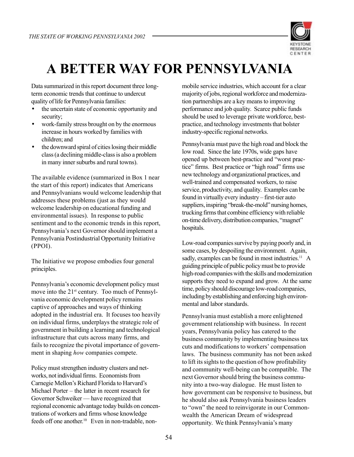

# **A BETTER WAY FOR PENNSYLVANIA**

Data summarized in this report document three longterm economic trends that continue to undercut quality of life for Pennsylvania families:

- the uncertain state of economic opportunity and security;
- work-family stress brought on by the enormous increase in hours worked by families with children; and
- the downward spiral of cities losing their middle class (a declining middle-class is also a problem in many inner suburbs and rural towns).

The available evidence (summarized in Box 1 near the start of this report) indicates that Americans and Pennsylvanians would welcome leadership that addresses these problems (just as they would welcome leadership on educational funding and environmental issues). In response to public sentiment and to the economic trends in this report, Pennsylvania's next Governor should implement a Pennsylvania Postindustrial Opportunity Initiative (PPOI).

The Initiative we propose embodies four general principles.

Pennsylvania's economic development policy must move into the 21<sup>st</sup> century. Too much of Pennsylvania economic development policy remains captive of approaches and ways of thinking adopted in the industrial era. It focuses too heavily on individual firms, underplays the strategic role of government in building a learning and technological infrastructure that cuts across many firms, and fails to recognize the pivotal importance of government in shaping *how* companies compete.

Policy must strengthen industry clusters and networks, not individual firms. Economists from Carnegie Mellon's Richard Florida to Harvard's Michael Porter – the latter in recent research for Governor Schweiker — have recognized that regional economic advantage today builds on concentrations of workers and firms whose knowledge feeds off one another.<sup>10</sup> Even in non-tradable, nonmobile service industries, which account for a clear majority of jobs, regional workforce and modernization partnerships are a key means to improving performance and job quality. Scarce public funds should be used to leverage private workforce, bestpractice, and technology investments that bolster industry-specific regional networks.

Pennsylvania must pave the high road and block the low road. Since the late 1970s, wide gaps have opened up between best-practice and "worst practice" firms. Best practice or "high road" firms use new technology and organizational practices, and well-trained and compensated workers, to raise service, productivity, and quality. Examples can be found in virtually every industry – first-tier auto suppliers, inspiring "break-the-mold" nursing homes, trucking firms that combine efficiency with reliable on-time delivery, distribution companies, "magnet" hospitals.

Low-road companies survive by paying poorly and, in some cases, by despoiling the environment. Again, sadly, examples can be found in most industries.<sup>11</sup> A guiding principle of public policy must be to provide high-road companies with the skills and modernization supports they need to expand and grow. At the same time, policy should discourage low-road companies, including by establishing and enforcing high environmental and labor standards.

Pennsylvania must establish a more enlightened government relationship with business. In recent years, Pennsylvania policy has catered to the business community by implementing business tax cuts and modifications to workers' compensation laws. The business community has not been asked to lift its sights to the question of how profitability and community well-being can be compatible. The next Governor should bring the business community into a two-way dialogue. He must listen to how government can be responsive to business, but he should also ask Pennsylvania business leaders to "own" the need to reinvigorate in our Commonwealth the American Dream of widespread opportunity. We think Pennsylvania's many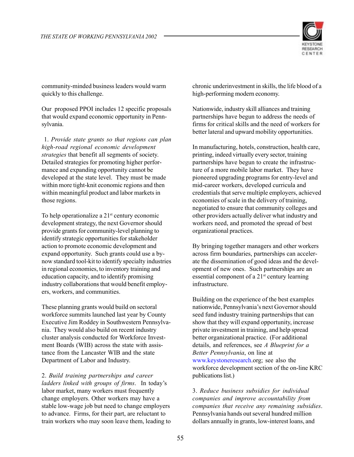

community-minded business leaders would warm quickly to this challenge.

Our proposed PPOI includes 12 specific proposals that would expand economic opportunity in Pennsylvania.

 1. *Provide state grants so that regions can plan high-road regional economic development strategies* that benefit all segments of society. Detailed strategies for promoting higher performance and expanding opportunity cannot be developed at the state level. They must be made within more tight-knit economic regions and then within meaningful product and labor markets in those regions.

To help operationalize a  $21<sup>st</sup>$  century economic development strategy, the next Governor should provide grants for community-level planning to identify strategic opportunities for stakeholder action to promote economic development and expand opportunity. Such grants could use a bynow standard tool-kit to identify specialty industries in regional economies, to inventory training and education capacity, and to identify promising industry collaborations that would benefit employers, workers, and communities.

These planning grants would build on sectoral workforce summits launched last year by County Executive Jim Roddey in Southwestern Pennsylvania. They would also build on recent industry cluster analysis conducted for Workforce Investment Boards (WIB) across the state with assistance from the Lancaster WIB and the state Department of Labor and Industry.

2. *Build training partnerships and career ladders linked with groups of firms*. In today's labor market, many workers must frequently change employers. Other workers may have a stable low-wage job but need to change employers to advance. Firms, for their part, are reluctant to train workers who may soon leave them, leading to chronic underinvestment in skills, the life blood of a high-performing modern economy.

Nationwide, industry skill alliances and training partnerships have begun to address the needs of firms for critical skills and the need of workers for better lateral and upward mobility opportunities.

In manufacturing, hotels, construction, health care, printing, indeed virtually every sector, training partnerships have begun to create the infrastructure of a more mobile labor market. They have pioneered upgrading programs for entry-level and mid-career workers, developed curricula and credentials that serve multiple employers, achieved economies of scale in the delivery of training, negotiated to ensure that community colleges and other providers actually deliver what industry and workers need, and promoted the spread of best organizational practices.

By bringing together managers and other workers across firm boundaries, partnerships can accelerate the dissemination of good ideas and the development of new ones. Such partnerships are an essential component of a 21st century learning infrastructure.

Building on the experience of the best examples nationwide, Pennsylvania's next Governor should seed fund industry training partnerships that can show that they will expand opportunity, increase private investment in training, and help spread better organizational practice. (For additional details, and references, see *A Blueprint for a Better Pennsylvania*, on line at www.keystoneresearch.org; see also the workforce development section of the on-line KRC publications list.)

3. *Reduce business subsidies for individual companies and improve accountability from companies that receive any remaining subsidies*. Pennsylvania hands out several hundred million dollars annually in grants, low-interest loans, and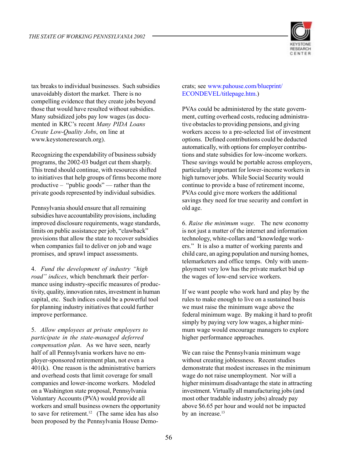

tax breaks to individual businesses. Such subsidies unavoidably distort the market. There is no compelling evidence that they create jobs beyond those that would have resulted without subsidies. Many subsidized jobs pay low wages (as documented in KRC's recent *Many PIDA Loans Create Low-Quality Jobs*, on line at www.keystoneresearch.org).

Recognizing the expendability of business subsidy programs, the 2002-03 budget cut them sharply. This trend should continue, with resources shifted to initiatives that help groups of firms become more productive – "public goods" — rather than the private goods represented by individual subsidies.

Pennsylvania should ensure that all remaining subsidies have accountability provisions, including improved disclosure requirements, wage standards, limits on public assistance per job, "clawback" provisions that allow the state to recover subsidies when companies fail to deliver on job and wage promises, and sprawl impact assessments.

4. *Fund the development of industry "high road" indices*, which benchmark their performance using industry-specific measures of productivity, quality, innovation rates, investment in human capital, etc. Such indices could be a powerful tool for planning industry initiatives that could further improve performance.

5. *Allow employees at private employers to participate in the state-managed deferred compensation plan*. As we have seen, nearly half of all Pennsylvania workers have no employer-sponsored retirement plan, not even a  $401(k)$ . One reason is the administrative barriers and overhead costs that limit coverage for small companies and lower-income workers. Modeled on a Washington state proposal, Pennsylvania Voluntary Accounts (PVA) would provide all workers and small business owners the opportunity to save for retirement.<sup>12</sup> (The same idea has also been proposed by the Pennsylvania House Demo-

#### crats; see www.pahouse.com/blueprint/ ECONDEVEL/titlepage.htm.)

PVAs could be administered by the state government, cutting overhead costs, reducing administrative obstacles to providing pensions, and giving workers access to a pre-selected list of investment options. Defined contributions could be deducted automatically, with options for employer contributions and state subsidies for low-income workers. These savings would be portable across employers, particularly important for lower-income workers in high turnover jobs. While Social Security would continue to provide a base of retirement income, PVAs could give more workers the additional savings they need for true security and comfort in old age.

6. *Raise the minimum wage*. The new economy is not just a matter of the internet and information technology, white-collars and "knowledge workers." It is also a matter of working parents and child care, an aging population and nursing homes, telemarketers and office temps. Only with unemployment very low has the private market bid up the wages of low-end service workers.

If we want people who work hard and play by the rules to make enough to live on a sustained basis we must raise the minimum wage above the federal minimum wage. By making it hard to profit simply by paying very low wages, a higher minimum wage would encourage managers to explore higher performance approaches.

We can raise the Pennsylvania minimum wage without creating joblessness. Recent studies demonstrate that modest increases in the minimum wage do not raise unemployment. Nor will a higher minimum disadvantage the state in attracting investment. Virtually all manufacturing jobs (and most other tradable industry jobs) already pay above \$6.65 per hour and would not be impacted by an increase.<sup>13</sup>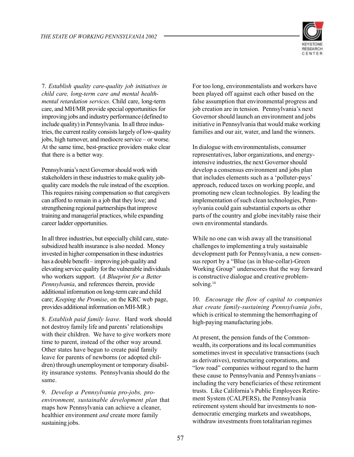

7. *Establish quality care-quality job initiatives in child care, long-term care and mental healthmental retardation services*. Child care, long-term care, and MH/MR provide special opportunities for improving jobs and industry performance (defined to include quality) in Pennsylvania. In all three industries, the current reality consists largely of low-quality jobs, high turnover, and mediocre service – or worse. At the same time, best-practice providers make clear that there is a better way.

Pennsylvania's next Governor should work with stakeholders in these industries to make quality jobquality care models the rule instead of the exception. This requires raising compensation so that caregivers can afford to remain in a job that they love; and strengthening regional partnerships that improve training and managerial practices, while expanding career ladder opportunities.

In all three industries, but especially child care, statesubsidized health insurance is also needed. Money invested in higher compensation in these industries has a double benefit – improving job quality and elevating service quality for the vulnerable individuals who workers support. (*A Blueprint for a Better Pennsylvania*, and references therein, provide additional information on long-term care and child care; *Keeping the Promise*, on the KRC web page, provides additional information on MH-MR.)

8. *Establish paid family leave*. Hard work should not destroy family life and parents' relationships with their children. We have to give workers more time to parent, instead of the other way around. Other states have begun to create paid family leave for parents of newborns (or adopted children) through unemployment or temporary disability insurance systems. Pennsylvania should do the same.

9. *Develop a Pennsylvania pro-jobs, proenvironment, sustainable development plan* that maps how Pennsylvania can achieve a cleaner, healthier environment *and* create more family sustaining jobs.

For too long, environmentalists and workers have been played off against each other based on the false assumption that environmental progress and job creation are in tension. Pennsylvania's next Governor should launch an environment and jobs initiative in Pennsylvania that would make working families and our air, water, and land the winners.

In dialogue with environmentalists, consumer representatives, labor organizations, and energyintensive industries, the next Governor should develop a consensus environment and jobs plan that includes elements such as a 'polluter-pays' approach, reduced taxes on working people, and promoting new clean technologies. By leading the implementation of such clean technologies, Pennsylvania could gain substantial exports as other parts of the country and globe inevitably raise their own environmental standards.

While no one can wish away all the transitional challenges to implementing a truly sustainable development path for Pennsylvania, a new consensus report by a "Blue (as in blue-collar)-Green Working Group" underscores that the way forward is constructive dialogue and creative problemsolving.14

10. *Encourage the flow of capital to companies that create family-sustaining Pennsylvania jobs*, which is critical to stemming the hemorrhaging of high-paying manufacturing jobs.

At present, the pension funds of the Commonwealth, its corporations and its local communities sometimes invest in speculative transactions (such as derivatives), restructuring corporations, and "low road" companies without regard to the harm these cause to Pennsylvania and Pennsylvanians – including the very beneficiaries of these retirement trusts. Like California's Public Employees Retirement System (CALPERS), the Pennsylvania retirement system should bar investments to nondemocratic emerging markets and sweatshops, withdraw investments from totalitarian regimes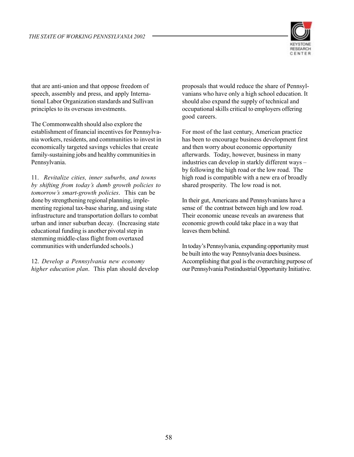

that are anti-union and that oppose freedom of speech, assembly and press, and apply International Labor Organization standards and Sullivan principles to its overseas investments.

The Commonwealth should also explore the establishment of financial incentives for Pennsylvania workers, residents, and communities to invest in economically targeted savings vehicles that create family-sustaining jobs and healthy communities in Pennsylvania.

11. *Revitalize cities, inner suburbs, and towns by shifting from today's dumb growth policies to tomorrow's smart-growth policies*. This can be done by strengthening regional planning, implementing regional tax-base sharing, and using state infrastructure and transportation dollars to combat urban and inner suburban decay. (Increasing state educational funding is another pivotal step in stemming middle-class flight from overtaxed communities with underfunded schools.)

12. *Develop a Pennsylvania new economy higher education plan*. This plan should develop proposals that would reduce the share of Pennsylvanians who have only a high school education. It should also expand the supply of technical and occupational skills critical to employers offering good careers.

For most of the last century, American practice has been to encourage business development first and then worry about economic opportunity afterwards. Today, however, business in many industries can develop in starkly different ways – by following the high road or the low road. The high road is compatible with a new era of broadly shared prosperity. The low road is not.

In their gut, Americans and Pennsylvanians have a sense of the contrast between high and low road. Their economic unease reveals an awareness that economic growth could take place in a way that leaves them behind.

In today's Pennsylvania, expanding opportunity must be built into the way Pennsylvania does business. Accomplishing that goal is the overarching purpose of our Pennsylvania Postindustrial Opportunity Initiative.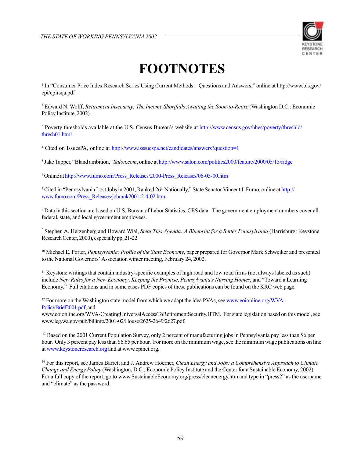

# **FOOTNOTES**

1 In "Consumer Price Index Research Series Using Current Methods – Questions and Answers," online at http://www.bls.gov/ cpi/cpirsqa.pdf

2 Edward N. Wolff, *Retirement Insecurity: The Income Shortfalls Awaiting the Soon-to-Retire* (Washington D.C.: Economic Policy Institute, 2002).

<sup>3</sup> Poverty thresholds available at the U.S. Census Bureau's website at http://www.census.gov/hhes/poverty/threshld/ thresh01.html

<sup>4</sup> Cited on IssuesPA, online at http://www.isssuespa.net/candidates/answers?question=1

5 Jake Tapper, "Bland ambition," *Salon.com*, online at http://www.salon.com/politics2000/feature/2000/05/15/ridge

6 Online at http://www.fumo.com/Press\_Releases/2000-Press\_Releases/06-05-00.htm

<sup>7</sup> Cited in "Pennsylvania Lost Jobs in 2001, Ranked 26<sup>th</sup> Nationally," State Senator Vincent J. Fumo, online at http:// www.fumo.com/Press\_Releases/jobrank2001-2-4-02.htm

8 Data in this section are based on U.S. Bureau of Labor Statistics, CES data. The government employment numbers cover all federal, state, and local government employees.

9 Stephen A. Herzenberg and Howard Wial, *Steal This Agenda: A Blueprint for a Better Pennsylvania* (Harrisburg: Keystone Research Center, 2000), especially pp. 21-22.

10 Michael E. Porter, *Pennsylvania: Profile of the State Economy*, paper prepared for Governor Mark Schweiker and presented to the National Governors' Association winter meeting, February 24, 2002.

<sup>11</sup> Keystone writings that contain industry-specific examples of high road and low road firms (not always labeled as such) include *New Rules for a New Economy*, *Keeping the Promise*, *Pennsylvania's Nursing Homes*, and "Toward a Learning Economy." Full citations and in some cases PDF copies of these publications can be found on the KRC web page.

<sup>12</sup> For more on the Washington state model from which we adapt the idea PVAs, see www.eoionline.org/WVA-PolicyBrief2001.pdf, and

www.eoionline.org/WVA-CreatingUniversalAccessToRetirementSecurity.HTM. For state legislation based on this model, see www.leg.wa.gov/pub/billinfo/2001-02/House/2625-2649/2627.pdf.

<sup>13</sup> Based on the 2001 Current Population Survey, only 2 percent of manufacturing jobs in Pennsylvania pay less than \$6 per hour. Only 3 percent pay less than \$6.65 per hour. For more on the minimum wage, see the minimum wage publications on line at www.keystoneresearch.org and at www.epinet.org.

14 For this report, see James Barrett and J. Andrew Hoerner, *Clean Energy and Jobs: a Comprehensive Approach to Climate Change and Energy Policy* (Washington, D.C.: Economic Policy Institute and the Center for a Sustainable Economy, 2002). For a full copy of the report, go to www.SustainableEconomy.org/press/cleanenergy.htm and type in "press2" as the username and "climate" as the password.